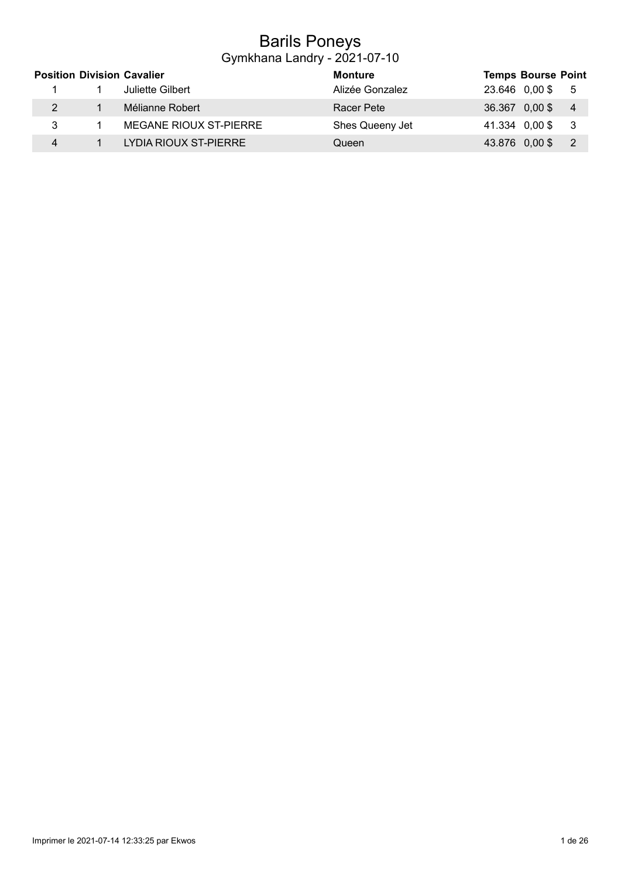## Barils Poneys Gymkhana Landry - 2021-07-10

|   | <b>Position Division Cavalier</b> | <b>Monture</b>  | <b>Temps Bourse Point</b>                    |
|---|-----------------------------------|-----------------|----------------------------------------------|
|   | Juliette Gilbert                  | Alizée Gonzalez | 23.646 0,00 \$ 5                             |
|   | Mélianne Robert                   | Racer Pete      | 36.367 0,00 \$<br>$\overline{4}$             |
| 3 | MEGANE RIOUX ST-PIERRE            | Shes Queeny Jet | 41.334 0,00 \$<br>- 3                        |
|   | LYDIA RIOUX ST-PIERRE             | Queen           | 43.876 0,00 \$<br>$\overline{\phantom{0}}^2$ |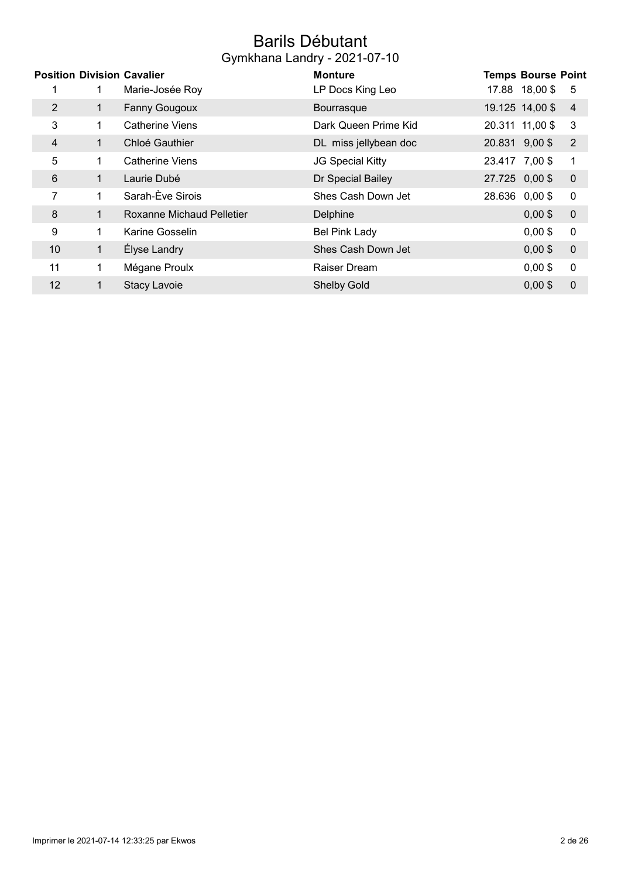## Barils Débutant Gymkhana Landry - 2021-07-10

|                |             | <b>Position Division Cavalier</b> | <b>Monture</b>          |                | <b>Temps Bourse Point</b> |                  |
|----------------|-------------|-----------------------------------|-------------------------|----------------|---------------------------|------------------|
|                |             | Marie-Josée Roy                   | LP Docs King Leo        |                | 17.88 18,00 \$            | 5                |
| 2              | 1           | <b>Fanny Gougoux</b>              | Bourrasque              |                | 19.125 14,00 \$           | $\overline{4}$   |
| 3              | 1.          | <b>Catherine Viens</b>            | Dark Queen Prime Kid    |                | 20.311 11,00 \$           | 3                |
| $\overline{4}$ | 1.          | Chloé Gauthier                    | DL miss jellybean doc   | 20.831 9,00 \$ |                           | $\overline{2}$   |
| 5              | 1.          | <b>Catherine Viens</b>            | <b>JG Special Kitty</b> | 23.417 7,00 \$ |                           | 1                |
| 6              | 1           | Laurie Dubé                       | Dr Special Bailey       | 27.725 0,00 \$ |                           | $\mathbf 0$      |
| 7              |             | Sarah-Ève Sirois                  | Shes Cash Down Jet      |                | 28.636 0,00 \$            | $\boldsymbol{0}$ |
| 8              | $\mathbf 1$ | Roxanne Michaud Pelletier         | Delphine                |                | $0,00$ \$                 | $\mathbf 0$      |
| 9              | 1.          | Karine Gosselin                   | <b>Bel Pink Lady</b>    |                | $0,00$ \$                 | $\mathbf 0$      |
| 10             | 1           | Élyse Landry                      | Shes Cash Down Jet      |                | $0,00$ \$                 | $\mathbf 0$      |
| 11             | 1           | Mégane Proulx                     | Raiser Dream            |                | $0,00$ \$                 | $\boldsymbol{0}$ |
| 12             | 1           | <b>Stacy Lavoie</b>               | <b>Shelby Gold</b>      |                | $0,00$ \$                 | $\mathbf 0$      |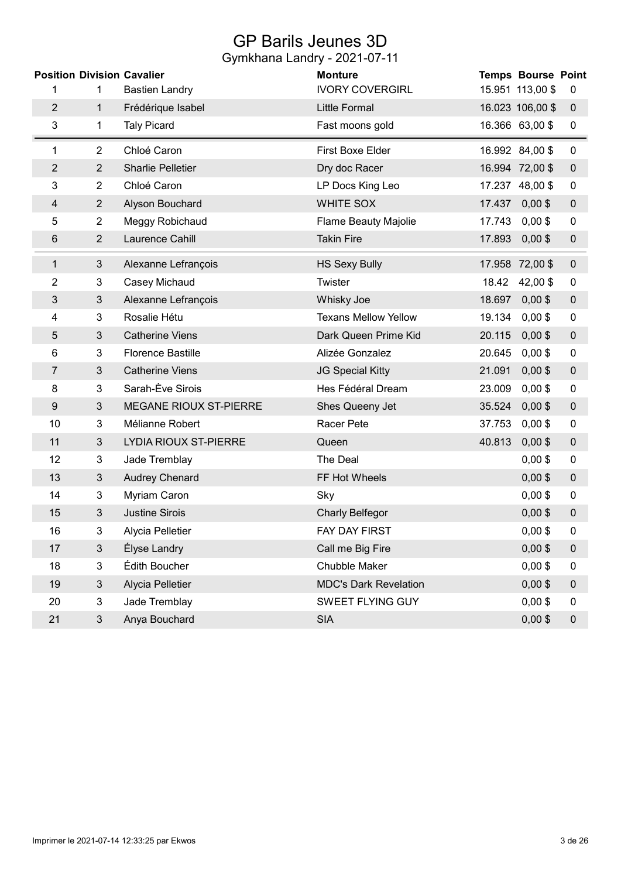# GP Barils Jeunes 3D

|                |                | <b>Position Division Cavalier</b> | <b>Monture</b>               |        | <b>Temps Bourse Point</b> |                  |
|----------------|----------------|-----------------------------------|------------------------------|--------|---------------------------|------------------|
| 1              | 1              | <b>Bastien Landry</b>             | <b>IVORY COVERGIRL</b>       |        | 15.951 113,00 \$          | $\boldsymbol{0}$ |
| $\overline{2}$ | 1              | Frédérique Isabel                 | <b>Little Formal</b>         |        | 16.023 106,00 \$          | $\mathbf 0$      |
| 3              | 1              | <b>Taly Picard</b>                | Fast moons gold              |        | 16.366 63,00 \$           | 0                |
| 1              | $\overline{2}$ | Chloé Caron                       | First Boxe Elder             |        | 16.992 84,00 \$           | 0                |
| $\overline{c}$ | $\overline{2}$ | <b>Sharlie Pelletier</b>          | Dry doc Racer                |        | 16.994 72,00 \$           | $\pmb{0}$        |
| 3              | $\overline{2}$ | Chloé Caron                       | LP Docs King Leo             |        | 17.237 48,00 \$           | $\mathbf 0$      |
| 4              | $\overline{2}$ | Alyson Bouchard                   | WHITE SOX                    |        | 17.437 0,00 \$            | $\pmb{0}$        |
| 5              | $\overline{2}$ | Meggy Robichaud                   | <b>Flame Beauty Majolie</b>  | 17.743 | $0,00$ \$                 | 0                |
| 6              | $\overline{2}$ | Laurence Cahill                   | <b>Takin Fire</b>            | 17.893 | $0,00$ \$                 | $\boldsymbol{0}$ |
| 1              | $\mathfrak{S}$ | Alexanne Lefrançois               | <b>HS Sexy Bully</b>         |        | 17.958 72,00 \$           | $\mathbf 0$      |
| 2              | 3              | Casey Michaud                     | <b>Twister</b>               | 18.42  | 42,00 \$                  | 0                |
| 3              | $\mathfrak{Z}$ | Alexanne Lefrançois               | Whisky Joe                   | 18.697 | $0,00$ \$                 | $\mathbf 0$      |
| 4              | 3              | Rosalie Hétu                      | <b>Texans Mellow Yellow</b>  | 19.134 | $0,00$ \$                 | 0                |
| 5              | $\mathfrak{S}$ | <b>Catherine Viens</b>            | Dark Queen Prime Kid         | 20.115 | $0,00$ \$                 | $\pmb{0}$        |
| 6              | 3              | <b>Florence Bastille</b>          | Alizée Gonzalez              | 20.645 | $0,00$ \$                 | $\boldsymbol{0}$ |
| 7              | 3              | <b>Catherine Viens</b>            | JG Special Kitty             | 21.091 | $0,00$ \$                 | $\mathbf 0$      |
| 8              | 3              | Sarah-Ève Sirois                  | Hes Fédéral Dream            | 23.009 | $0,00$ \$                 | $\boldsymbol{0}$ |
| 9              | $\mathfrak{S}$ | MEGANE RIOUX ST-PIERRE            | Shes Queeny Jet              | 35.524 | $0,00$ \$                 | $\pmb{0}$        |
| 10             | 3              | Mélianne Robert                   | Racer Pete                   | 37.753 | $0,00$ \$                 | $\boldsymbol{0}$ |
| 11             | $\mathfrak{S}$ | LYDIA RIOUX ST-PIERRE             | Queen                        | 40.813 | $0,00$ \$                 | $\pmb{0}$        |
| 12             | 3              | Jade Tremblay                     | The Deal                     |        | $0,00$ \$                 | $\boldsymbol{0}$ |
| 13             | $\mathfrak{S}$ | <b>Audrey Chenard</b>             | FF Hot Wheels                |        | $0,00$ \$                 | $\mathbf 0$      |
| 14             | 3              | Myriam Caron                      | Sky                          |        | $0,00$ \$                 | 0                |
| 15             | 3              | <b>Justine Sirois</b>             | <b>Charly Belfegor</b>       |        | $0,00$ \$                 | $\pmb{0}$        |
| 16             | 3              | Alycia Pelletier                  | FAY DAY FIRST                |        | $0,00$ \$                 | $\pmb{0}$        |
| 17             | $\mathfrak{S}$ | Élyse Landry                      | Call me Big Fire             |        | $0,00$ \$                 | $\pmb{0}$        |
| 18             | 3              | Édith Boucher                     | Chubble Maker                |        | $0,00$ \$                 | $\boldsymbol{0}$ |
| 19             | $\mathfrak{S}$ | Alycia Pelletier                  | <b>MDC's Dark Revelation</b> |        | $0,00$ \$                 | $\pmb{0}$        |
| 20             | 3              | Jade Tremblay                     | SWEET FLYING GUY             |        | $0,00$ \$                 | 0                |
| 21             | 3              | Anya Bouchard                     | <b>SIA</b>                   |        | $0,00$ \$                 | $\pmb{0}$        |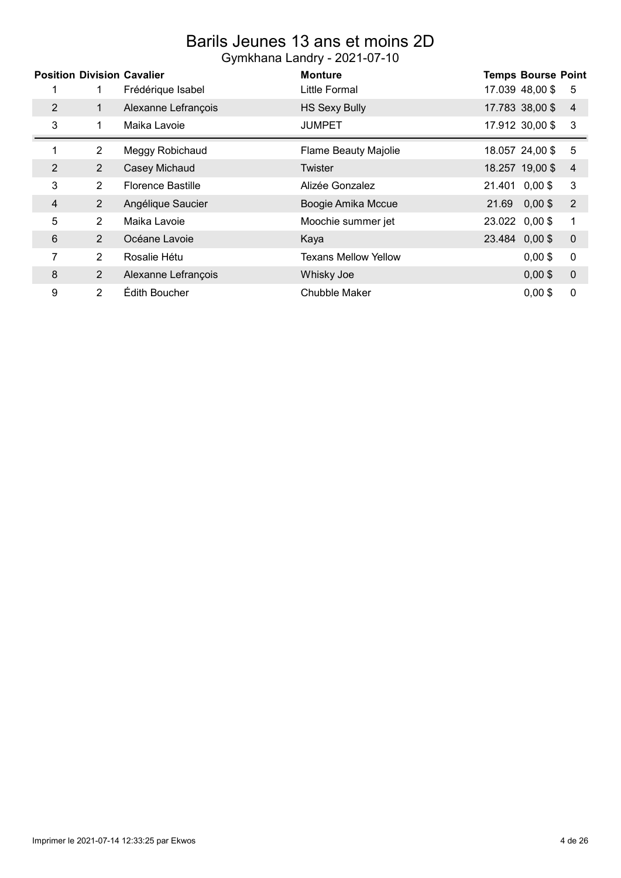### Barils Jeunes 13 ans et moins 2D Gymkhana Landry - 2021-07-10

|   |                | <b>Position Division Cavalier</b> | <b>Monture</b>              | <b>Temps Bourse Point</b>            |
|---|----------------|-----------------------------------|-----------------------------|--------------------------------------|
|   | 1              | Frédérique Isabel                 | Little Formal               | 17.039 48,00 \$<br>5                 |
| 2 | 1              | Alexanne Lefrançois               | <b>HS Sexy Bully</b>        | 17.783 38,00 \$<br>4                 |
| 3 | 1              | Maika Lavoie                      | <b>JUMPET</b>               | 17.912 30,00 \$<br>3                 |
| 1 | $\overline{2}$ | Meggy Robichaud                   | <b>Flame Beauty Majolie</b> | 18.057 24,00 \$<br>5                 |
| 2 | $\overline{2}$ | Casey Michaud                     | Twister                     | 18.257 19,00 \$<br>$\overline{4}$    |
| 3 | $\overline{2}$ | <b>Florence Bastille</b>          | Alizée Gonzalez             | 21.401 0,00 \$<br>3                  |
| 4 | $\overline{2}$ | Angélique Saucier                 | Boogie Amika Mccue          | 21.69<br>$\overline{2}$<br>$0,00$ \$ |
| 5 | $\overline{2}$ | Maika Lavoie                      | Moochie summer jet          | 23.022 0,00 \$<br>1                  |
| 6 | 2              | Océane Lavoie                     | Kaya                        | 23.484 0,00 \$<br>$\boldsymbol{0}$   |
| 7 | $\overline{2}$ | Rosalie Hétu                      | <b>Texans Mellow Yellow</b> | 0<br>$0,00$ \$                       |
| 8 | $\overline{2}$ | Alexanne Lefrançois               | Whisky Joe                  | $\boldsymbol{0}$<br>$0,00$ \$        |
| 9 | $\overline{2}$ | Édith Boucher                     | Chubble Maker               | 0<br>$0.00$ \$                       |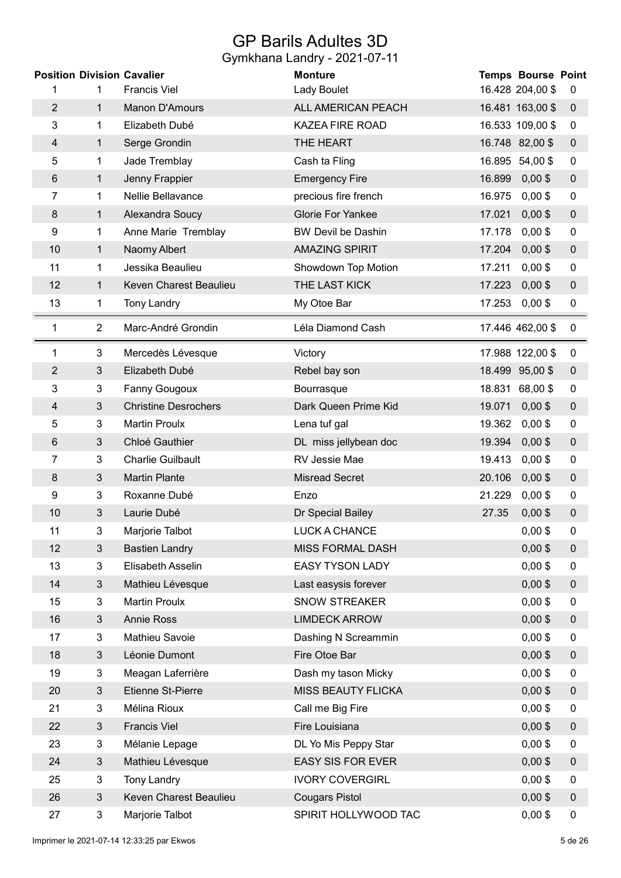## GP Barils Adultes 3D

| <b>Position Division Cavalier</b> |                |                             | <b>Monture</b>            |        | <b>Temps Bourse Point</b> |                  |
|-----------------------------------|----------------|-----------------------------|---------------------------|--------|---------------------------|------------------|
| 1                                 | 1              | <b>Francis Viel</b>         | Lady Boulet               |        | 16.428 204,00 \$          | 0                |
| $\overline{2}$                    | $\mathbf{1}$   | <b>Manon D'Amours</b>       | ALL AMERICAN PEACH        |        | 16.481 163,00 \$          | $\mathbf 0$      |
| 3                                 | 1              | Elizabeth Dubé              | <b>KAZEA FIRE ROAD</b>    |        | 16.533 109,00 \$          | 0                |
| 4                                 | 1              | Serge Grondin               | THE HEART                 |        | 16.748 82,00 \$           | $\boldsymbol{0}$ |
| 5                                 | 1              | Jade Tremblay               | Cash ta Fling             |        | 16.895 54,00 \$           | 0                |
| 6                                 | 1              | Jenny Frappier              | <b>Emergency Fire</b>     | 16.899 | $0,00$ \$                 | $\boldsymbol{0}$ |
| 7                                 | 1              | Nellie Bellavance           | precious fire french      | 16.975 | $0,00$ \$                 | $\mathbf 0$      |
| 8                                 | 1              | Alexandra Soucy             | <b>Glorie For Yankee</b>  | 17.021 | $0,00$ \$                 | $\boldsymbol{0}$ |
| 9                                 | 1              | Anne Marie Tremblay         | <b>BW Devil be Dashin</b> | 17.178 | $0,00$ \$                 | 0                |
| 10                                | 1              | Naomy Albert                | <b>AMAZING SPIRIT</b>     | 17.204 | $0,00$ \$                 | $\boldsymbol{0}$ |
| 11                                | 1              | Jessika Beaulieu            | Showdown Top Motion       | 17.211 | $0,00$ \$                 | $\mathbf 0$      |
| 12                                | $\mathbf{1}$   | Keven Charest Beaulieu      | THE LAST KICK             | 17.223 | $0,00$ \$                 | $\boldsymbol{0}$ |
| 13                                | 1              | <b>Tony Landry</b>          | My Otoe Bar               | 17.253 | $0,00$ \$                 | $\mathbf 0$      |
| 1                                 | $\overline{2}$ | Marc-André Grondin          | Léla Diamond Cash         |        | 17.446 462,00 \$          | 0                |
| 1                                 | 3              | Mercedès Lévesque           | Victory                   |        | 17.988 122,00 \$          | 0                |
| $\overline{2}$                    | 3              | Elizabeth Dubé              | Rebel bay son             |        | 18.499 95,00 \$           | $\boldsymbol{0}$ |
| 3                                 | 3              | Fanny Gougoux               | Bourrasque                |        | 18.831 68,00 \$           | 0                |
| 4                                 | $\mathfrak{Z}$ | <b>Christine Desrochers</b> | Dark Queen Prime Kid      | 19.071 | $0,00$ \$                 | $\pmb{0}$        |
| 5                                 | 3              | <b>Martin Proulx</b>        | Lena tuf gal              | 19.362 | $0,00$ \$                 | 0                |
| 6                                 | $\mathfrak{B}$ | Chloé Gauthier              | DL miss jellybean doc     | 19.394 | $0,00$ \$                 | $\boldsymbol{0}$ |
| 7                                 | $\mathbf{3}$   | <b>Charlie Guilbault</b>    | RV Jessie Mae             | 19.413 | $0,00$ \$                 | $\mathbf 0$      |
| 8                                 | $\mathfrak{S}$ | <b>Martin Plante</b>        | <b>Misread Secret</b>     | 20.106 | $0,00$ \$                 | $\boldsymbol{0}$ |
| 9                                 | 3              | Roxanne Dubé                | Enzo                      | 21.229 | $0,00$ \$                 | 0                |
| 10                                | 3              | Laurie Dubé                 | Dr Special Bailey         | 27.35  | $0,00$ \$                 | $\pmb{0}$        |
| 11                                | 3              | Marjorie Talbot             | LUCK A CHANCE             |        | $0,00$ \$                 | 0                |
| 12                                | $\mathfrak{Z}$ | <b>Bastien Landry</b>       | <b>MISS FORMAL DASH</b>   |        | $0,00$ \$                 | $\boldsymbol{0}$ |
| 13                                | 3              | Elisabeth Asselin           | <b>EASY TYSON LADY</b>    |        | $0,00$ \$                 | 0                |
| 14                                | $\mathfrak{S}$ | Mathieu Lévesque            | Last easysis forever      |        | $0,00$ \$                 | $\boldsymbol{0}$ |
| 15                                | $\mathbf{3}$   | <b>Martin Proulx</b>        | <b>SNOW STREAKER</b>      |        | $0,00$ \$                 | 0                |
| 16                                | 3              | <b>Annie Ross</b>           | <b>LIMDECK ARROW</b>      |        | $0,00$ \$                 | $\mathbf 0$      |
| 17                                | 3              | Mathieu Savoie              | Dashing N Screammin       |        | $0,00$ \$                 | 0                |
| 18                                | $\sqrt{3}$     | Léonie Dumont               | Fire Otoe Bar             |        | $0,00$ \$                 | $\boldsymbol{0}$ |
| 19                                | 3              | Meagan Laferrière           | Dash my tason Micky       |        | $0,00$ \$                 | 0                |
| 20                                | $\mathfrak{S}$ | Etienne St-Pierre           | <b>MISS BEAUTY FLICKA</b> |        | $0,00$ \$                 | $\pmb{0}$        |
| 21                                | 3              | Mélina Rioux                | Call me Big Fire          |        | $0,00$ \$                 | 0                |
| 22                                | $\mathfrak{Z}$ | <b>Francis Viel</b>         | Fire Louisiana            |        | $0,00$ \$                 | $\mathbf 0$      |
| 23                                | 3              | Mélanie Lepage              | DL Yo Mis Peppy Star      |        | $0,00$ \$                 | 0                |
| 24                                | $\mathfrak{Z}$ | Mathieu Lévesque            | <b>EASY SIS FOR EVER</b>  |        | $0,00$ \$                 | $\boldsymbol{0}$ |
| 25                                | $\mathbf{3}$   | <b>Tony Landry</b>          | <b>IVORY COVERGIRL</b>    |        | $0,00$ \$                 | 0                |
| 26                                | $\mathfrak{S}$ | Keven Charest Beaulieu      | <b>Cougars Pistol</b>     |        | $0,00$ \$                 | $\boldsymbol{0}$ |
| 27                                | 3              | Marjorie Talbot             | SPIRIT HOLLYWOOD TAC      |        | $0,00$ \$                 | $\pmb{0}$        |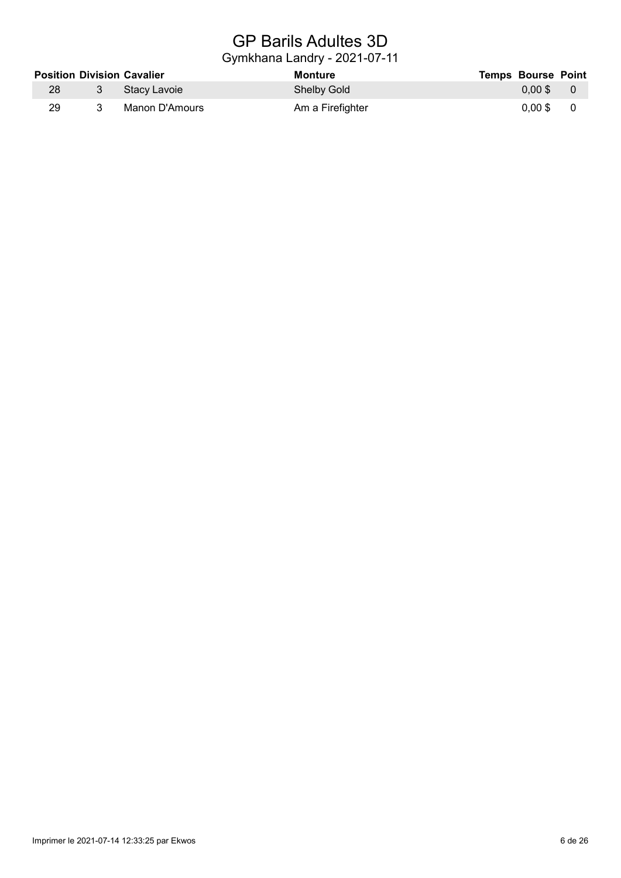# GP Barils Adultes 3D

|    | <b>Position Division Cavalier</b> | Monture            | <b>Temps Bourse Point</b> |  |
|----|-----------------------------------|--------------------|---------------------------|--|
| 28 | □ 3   Stacv Lavoie 』              | <b>Shelby Gold</b> | 0.00 \$60                 |  |
| 29 | Manon D'Amours                    | Am a Firefighter   | 0.00 \$60                 |  |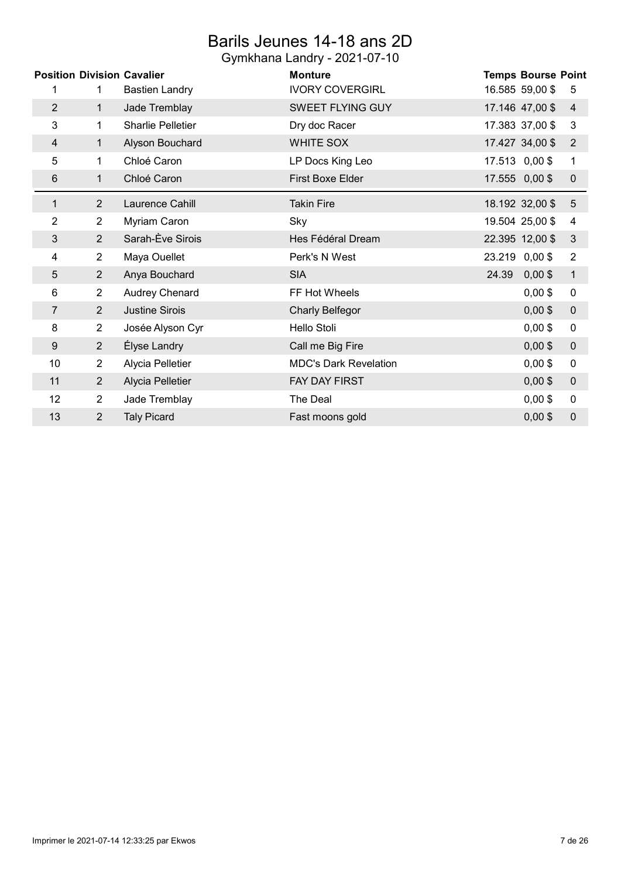## Barils Jeunes 14-18 ans 2D

|                | <b>Position Division Cavalier</b> |                          | <b>Monture</b>               | <b>Temps Bourse Point</b>          |
|----------------|-----------------------------------|--------------------------|------------------------------|------------------------------------|
| 1              | 1                                 | <b>Bastien Landry</b>    | <b>IVORY COVERGIRL</b>       | 16.585 59,00 \$<br>5               |
| $\overline{2}$ | $\mathbf{1}$                      | Jade Tremblay            | SWEET FLYING GUY             | 17.146 47,00 \$<br>4               |
| 3              | $\mathbf 1$                       | <b>Sharlie Pelletier</b> | Dry doc Racer                | 17.383 37,00 \$<br>3               |
| 4              | 1                                 | Alyson Bouchard          | WHITE SOX                    | 17.427 34,00 \$<br>$\overline{2}$  |
| 5              | 1                                 | Chloé Caron              | LP Docs King Leo             | 17.513 0,00 \$<br>1                |
| 6              | 1                                 | Chloé Caron              | First Boxe Elder             | 17.555 0,00 \$<br>$\mathbf 0$      |
| 1              | $\overline{2}$                    | Laurence Cahill          | <b>Takin Fire</b>            | 18.192 32,00 \$<br>5               |
| 2              | $\mathbf{2}^{\prime}$             | Myriam Caron             | Sky                          | 19.504 25,00 \$<br>4               |
| 3              | 2                                 | Sarah-Ève Sirois         | Hes Fédéral Dream            | 22.395 12,00 \$<br>$\mathfrak{B}$  |
| 4              | $\overline{2}$                    | Maya Ouellet             | Perk's N West                | 23.219 0,00 \$<br>2                |
| 5              | $\overline{2}$                    | Anya Bouchard            | <b>SIA</b>                   | 24.39<br>$0,00$ \$<br>$\mathbf{1}$ |
| 6              | $\overline{2}$                    | Audrey Chenard           | FF Hot Wheels                | $0,00$ \$<br>$\pmb{0}$             |
| $\overline{7}$ | $\overline{2}$                    | <b>Justine Sirois</b>    | <b>Charly Belfegor</b>       | $0,00$ \$<br>$\pmb{0}$             |
| 8              | $\overline{2}$                    | Josée Alyson Cyr         | Hello Stoli                  | $0,00$ \$<br>$\pmb{0}$             |
| 9              | $\overline{2}$                    | Élyse Landry             | Call me Big Fire             | $0,00$ \$<br>$\pmb{0}$             |
| 10             | $\overline{2}$                    | Alycia Pelletier         | <b>MDC's Dark Revelation</b> | $0,00$ \$<br>$\pmb{0}$             |
| 11             | $\overline{2}$                    | Alycia Pelletier         | FAY DAY FIRST                | $0,00$ \$<br>$\pmb{0}$             |
| 12             | $\overline{2}$                    | Jade Tremblay            | The Deal                     | $0,00$ \$<br>$\pmb{0}$             |
| 13             | $\overline{2}$                    | <b>Taly Picard</b>       | Fast moons gold              | $0,00$ \$<br>0                     |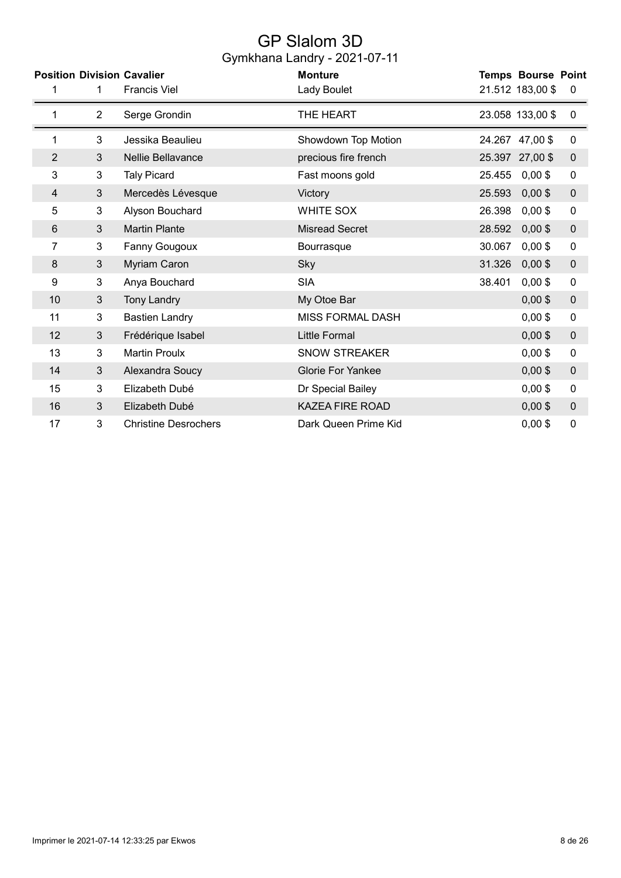## GP Slalom 3D Gymkhana Landry - 2021-07-11

|                |                | <b>Position Division Cavalier</b> | <b>Monture</b>           |        | <b>Temps Bourse Point</b> |             |
|----------------|----------------|-----------------------------------|--------------------------|--------|---------------------------|-------------|
|                | 1              | <b>Francis Viel</b>               | Lady Boulet              |        | 21.512 183,00 \$          | 0           |
|                | $\overline{2}$ | Serge Grondin                     | THE HEART                |        | 23.058 133,00 \$          | 0           |
| 1              | 3              | Jessika Beaulieu                  | Showdown Top Motion      |        | 24.267 47,00 \$           | 0           |
| $\overline{2}$ | $\mathbf{3}$   | Nellie Bellavance                 | precious fire french     |        | 25.397 27,00 \$           | $\pmb{0}$   |
| 3              | 3              | <b>Taly Picard</b>                | Fast moons gold          | 25.455 | $0,00$ \$                 | $\pmb{0}$   |
| 4              | 3              | Mercedès Lévesque                 | Victory                  | 25.593 | $0,00$ \$                 | $\mathbf 0$ |
| 5              | 3              | Alyson Bouchard                   | <b>WHITE SOX</b>         | 26.398 | $0,00$ \$                 | 0           |
| 6              | 3              | <b>Martin Plante</b>              | <b>Misread Secret</b>    | 28.592 | $0,00$ \$                 | $\pmb{0}$   |
| 7              | 3              | Fanny Gougoux                     | Bourrasque               | 30.067 | $0,00$ \$                 | 0           |
| 8              | 3              | Myriam Caron                      | Sky                      | 31.326 | $0,00$ \$                 | $\pmb{0}$   |
| 9              | 3              | Anya Bouchard                     | <b>SIA</b>               | 38.401 | $0,00$ \$                 | 0           |
| 10             | 3              | <b>Tony Landry</b>                | My Otoe Bar              |        | $0,00$ \$                 | $\pmb{0}$   |
| 11             | 3              | <b>Bastien Landry</b>             | <b>MISS FORMAL DASH</b>  |        | $0,00$ \$                 | 0           |
| 12             | 3              | Frédérique Isabel                 | <b>Little Formal</b>     |        | $0,00$ \$                 | $\pmb{0}$   |
| 13             | 3              | <b>Martin Proulx</b>              | <b>SNOW STREAKER</b>     |        | $0,00$ \$                 | $\pmb{0}$   |
| 14             | 3              | Alexandra Soucy                   | <b>Glorie For Yankee</b> |        | $0,00$ \$                 | $\mathbf 0$ |
| 15             | 3              | Elizabeth Dubé                    | Dr Special Bailey        |        | $0,00$ \$                 | 0           |
| 16             | 3              | Elizabeth Dubé                    | <b>KAZEA FIRE ROAD</b>   |        | $0,00$ \$                 | $\mathbf 0$ |
| 17             | 3              | <b>Christine Desrochers</b>       | Dark Queen Prime Kid     |        | $0,00$ \$                 | 0           |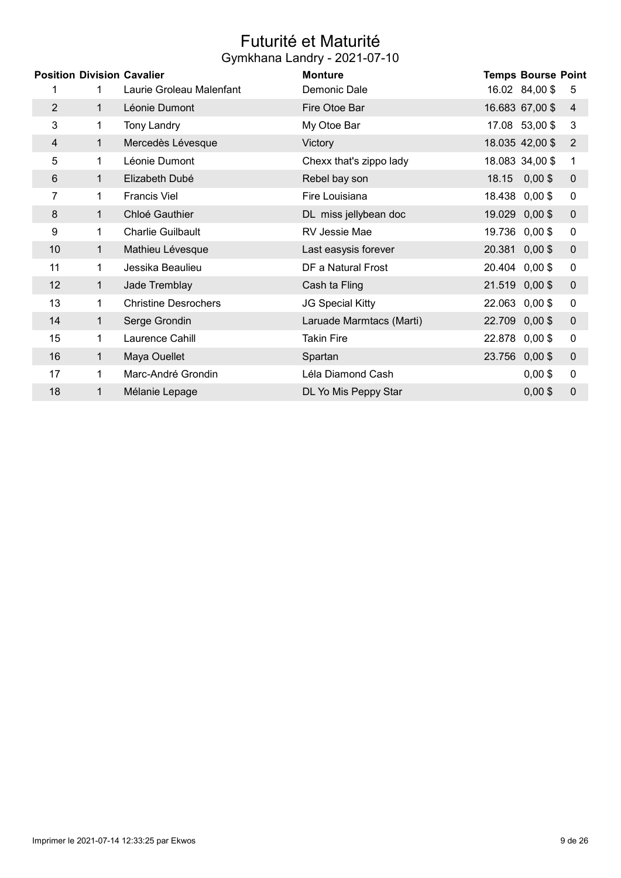## Futurité et Maturité Gymkhana Landry - 2021-07-10

|                |    | <b>Position Division Cavalier</b> | <b>Monture</b>           |        | <b>Temps Bourse Point</b> |             |
|----------------|----|-----------------------------------|--------------------------|--------|---------------------------|-------------|
| 1              | 1. | Laurie Groleau Malenfant          | Demonic Dale             |        | 16.02 84,00 \$            | 5           |
| $\overline{2}$ | 1. | Léonie Dumont                     | Fire Otoe Bar            |        | 16.683 67,00 \$           | 4           |
| 3              | 1. | <b>Tony Landry</b>                | My Otoe Bar              |        | 17.08 53,00 \$            | 3           |
| 4              | 1  | Mercedès Lévesque                 | Victory                  |        | 18.035 42,00 \$           | 2           |
| 5              | 1. | Léonie Dumont                     | Chexx that's zippo lady  |        | 18.083 34,00 \$           | 1           |
| 6              | 1. | Elizabeth Dubé                    | Rebel bay son            | 18.15  | $0,00$ \$                 | 0           |
| 7              | 1. | <b>Francis Viel</b>               | Fire Louisiana           |        | 18.438 0,00 \$            | 0           |
| 8              | 1. | Chloé Gauthier                    | DL miss jellybean doc    |        | 19.029 0,00 \$            | 0           |
| 9              | 1  | <b>Charlie Guilbault</b>          | RV Jessie Mae            |        | 19.736 0,00 \$            | 0           |
| 10             | 1. | Mathieu Lévesque                  | Last easysis forever     |        | 20.381 0,00 \$            | 0           |
| 11             | 1. | Jessika Beaulieu                  | DF a Natural Frost       |        | 20.404 0,00 \$            | 0           |
| 12             | 1  | Jade Tremblay                     | Cash ta Fling            |        | 21.519 0,00 \$            | 0           |
| 13             | 1. | <b>Christine Desrochers</b>       | JG Special Kitty         |        | 22.063 0,00 \$            | 0           |
| 14             | 1  | Serge Grondin                     | Laruade Marmtacs (Marti) |        | 22.709 0,00 \$            | 0           |
| 15             | 1  | Laurence Cahill                   | Takin Fire               |        | 22.878 0,00 \$            | 0           |
| 16             | 1  | Maya Ouellet                      | Spartan                  | 23.756 | $0,00$ \$                 | 0           |
| 17             | 1  | Marc-André Grondin                | Léla Diamond Cash        |        | $0,00$ \$                 | 0           |
| 18             | 1  | Mélanie Lepage                    | DL Yo Mis Peppy Star     |        | $0,00$ \$                 | $\mathbf 0$ |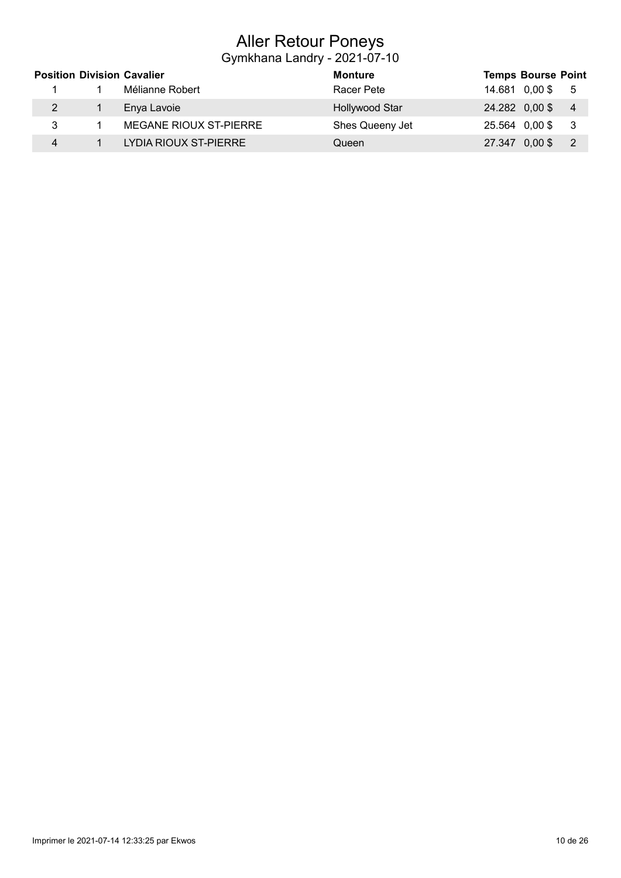## Aller Retour Poneys

|   | <b>Position Division Cavalier</b> | Monture               | <b>Temps Bourse Point</b>                    |
|---|-----------------------------------|-----------------------|----------------------------------------------|
|   | Mélianne Robert                   | Racer Pete            | 14.681 0.00 \$<br>- 5                        |
|   | Enya Lavoie                       | <b>Hollywood Star</b> | 24.282 0,00 \$<br>$\overline{4}$             |
| 3 | MEGANE RIOUX ST-PIERRE            | Shes Queeny Jet       | 25.564 0,00 \$<br>- 3                        |
|   | LYDIA RIOUX ST-PIERRE             | Queen                 | 27.347 0,00 \$<br>$\overline{\phantom{0}}^2$ |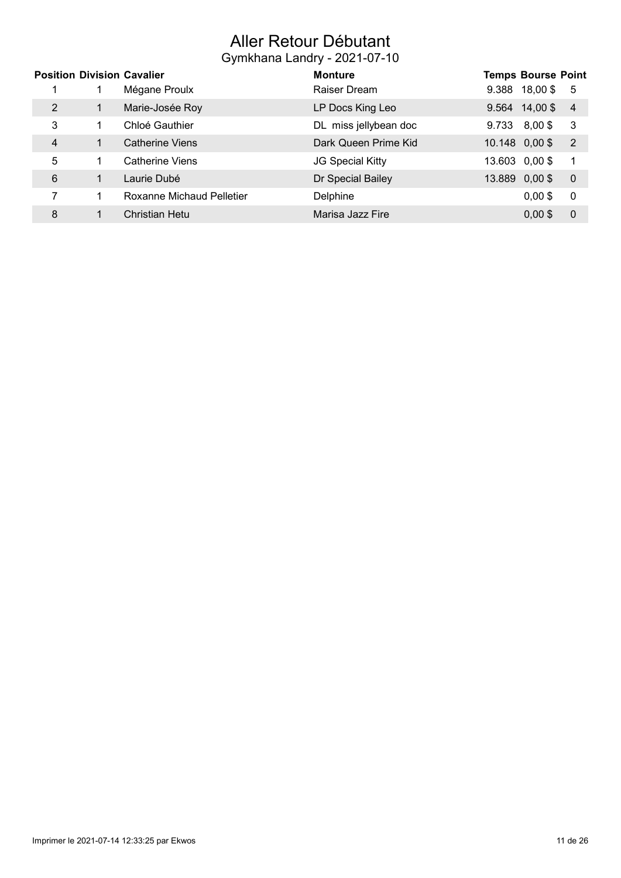## Aller Retour Débutant

|   |   | <b>Position Division Cavalier</b> | <b>Monture</b>          |                | <b>Temps Bourse Point</b> |                |
|---|---|-----------------------------------|-------------------------|----------------|---------------------------|----------------|
|   |   | Mégane Proulx                     | Raiser Dream            |                | 9.388 18,00 \$            | -5             |
| 2 |   | Marie-Josée Roy                   | LP Docs King Leo        |                | $9.564$ 14,00\$           | $\overline{4}$ |
| 3 |   | Chloé Gauthier                    | DL miss jellybean doc   | 9.733          | $8,00$ \$                 | - 3            |
| 4 |   | <b>Catherine Viens</b>            | Dark Queen Prime Kid    |                | 10.148 0,00 \$            | $\overline{2}$ |
| 5 |   | Catherine Viens                   | <b>JG Special Kitty</b> | 13.603 0,00 \$ |                           | -1             |
| 6 |   | Laurie Dubé                       | Dr Special Bailey       | 13.889 0,00 \$ |                           | $\overline{0}$ |
|   |   | Roxanne Michaud Pelletier         | Delphine                |                | $0,00$ \$                 | -0             |
| 8 | 1 | Christian Hetu                    | Marisa Jazz Fire        |                | $0,00$ \$                 | $\overline{0}$ |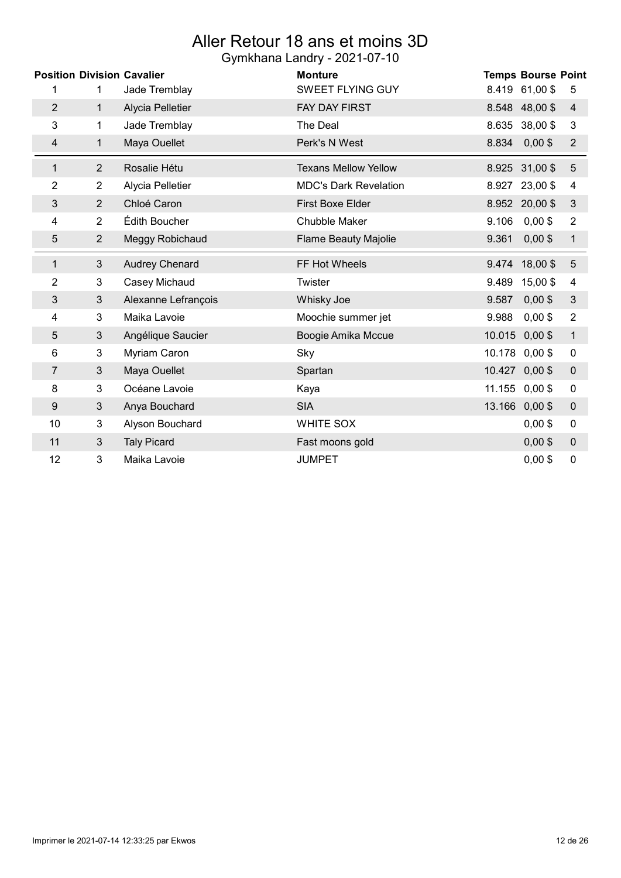### Aller Retour 18 ans et moins 3D Gymkhana Landry - 2021-07-10

|                  | <b>Position Division Cavalier</b> |                       | <b>Monture</b>               | <b>Temps Bourse Point</b>            |  |
|------------------|-----------------------------------|-----------------------|------------------------------|--------------------------------------|--|
| 1                | 1                                 | Jade Tremblay         | <b>SWEET FLYING GUY</b>      | 8.419 61,00 \$<br>5                  |  |
| $\overline{2}$   | $\mathbf{1}$                      | Alycia Pelletier      | <b>FAY DAY FIRST</b>         | 8.548 48,00 \$<br>4                  |  |
| 3                | 1                                 | Jade Tremblay         | The Deal                     | 38,00\$<br>8.635<br>3                |  |
| 4                | $\mathbf{1}$                      | Maya Ouellet          | Perk's N West                | 8.834<br>$0,00$ \$<br>$\overline{2}$ |  |
| $\mathbf{1}$     | $\overline{2}$                    | Rosalie Hétu          | <b>Texans Mellow Yellow</b>  | 8.925 31,00 \$<br>$\overline{5}$     |  |
| $\overline{2}$   | $\overline{2}$                    | Alycia Pelletier      | <b>MDC's Dark Revelation</b> | 23,00 \$<br>8.927<br>4               |  |
| 3                | $\overline{2}$                    | Chloé Caron           | <b>First Boxe Elder</b>      | 8.952 20,00 \$<br>$\mathfrak{B}$     |  |
| 4                | $\overline{2}$                    | Édith Boucher         | <b>Chubble Maker</b>         | $0,00$ \$<br>9.106<br>$\overline{2}$ |  |
| 5                | $\overline{2}$                    | Meggy Robichaud       | Flame Beauty Majolie         | $0,00$ \$<br>9.361<br>$\mathbf{1}$   |  |
| $\mathbf{1}$     | $\mathfrak{S}$                    | <b>Audrey Chenard</b> | FF Hot Wheels                | $5\phantom{.}$<br>9.474 18,00 \$     |  |
| 2                | 3                                 | Casey Michaud         | Twister                      | 9.489<br>15,00\$<br>4                |  |
| 3                | $\mathfrak{B}$                    | Alexanne Lefrançois   | Whisky Joe                   | $0,00$ \$<br>9.587<br>$\mathfrak{B}$ |  |
| 4                | 3                                 | Maika Lavoie          | Moochie summer jet           | $0,00$ \$<br>9.988<br>$\overline{2}$ |  |
| 5                | 3                                 | Angélique Saucier     | Boogie Amika Mccue           | 10.015<br>$0,00$ \$<br>$\mathbf 1$   |  |
| 6                | 3                                 | Myriam Caron          | Sky                          | 10.178<br>$0,00$ \$<br>$\pmb{0}$     |  |
| 7                | 3                                 | Maya Ouellet          | Spartan                      | 10.427 0,00 \$<br>$\mathbf 0$        |  |
| 8                | 3                                 | Océane Lavoie         | Kaya                         | 11.155 0,00 \$<br>$\pmb{0}$          |  |
| $\boldsymbol{9}$ | $\mathfrak{S}$                    | Anya Bouchard         | <b>SIA</b>                   | 13.166 0,00 \$<br>$\mathbf 0$        |  |
| 10               | 3                                 | Alyson Bouchard       | <b>WHITE SOX</b>             | $0,00$ \$<br>$\pmb{0}$               |  |
| 11               | 3                                 | <b>Taly Picard</b>    | Fast moons gold              | $0,00$ \$<br>$\pmb{0}$               |  |
| 12               | 3                                 | Maika Lavoie          | <b>JUMPET</b>                | $0,00$ \$<br>$\mathbf 0$             |  |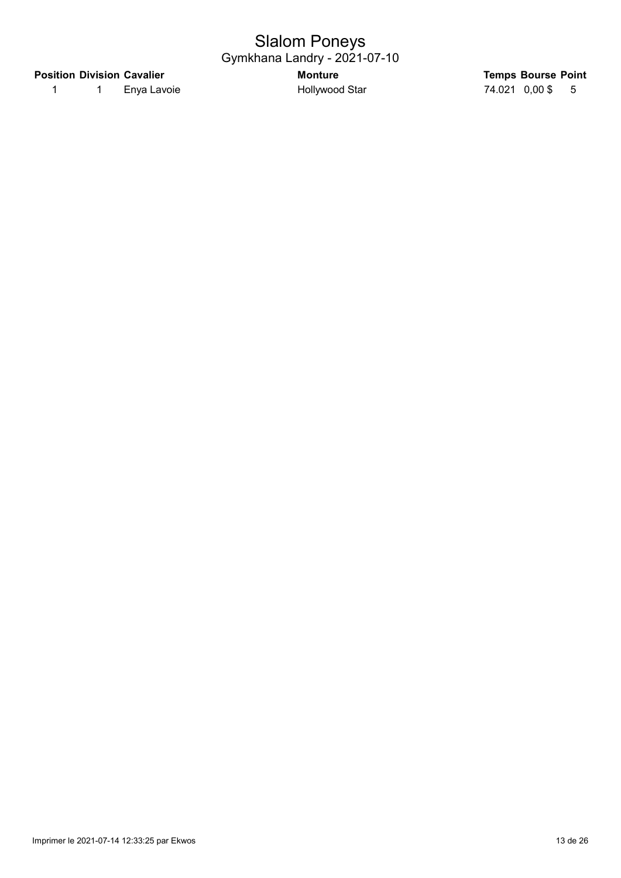## Slalom Poneys Gymkhana Landry - 2021-07-10

#### Position Division Cavalier **Notifiable Strutter Monture** Temps Bourse Point

1 1 Enya Lavoie 1 Hollywood Star 1 74.021 0,00 \$ 5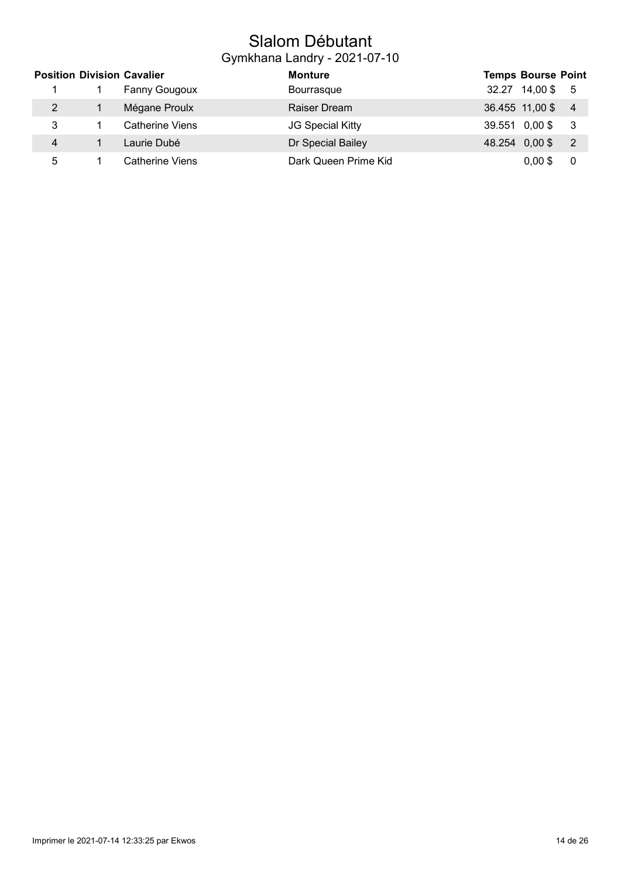## Slalom Débutant Gymkhana Landry - 2021-07-10

|   | <b>Position Division Cavalier</b> | <b>Monture</b>          | <b>Temps Bourse Point</b>        |
|---|-----------------------------------|-------------------------|----------------------------------|
|   | <b>Fanny Gougoux</b>              | Bourrasque              | 32.27 14,00 \$ 5                 |
| 2 | Mégane Proulx                     | Raiser Dream            | 36.455 11,00 \$ 4                |
| 3 | <b>Catherine Viens</b>            | <b>JG Special Kitty</b> | 39.551 0,00\$ 3                  |
| 4 | Laurie Dubé                       | Dr Special Bailey       | 48.254 0,00 \$<br>$\overline{2}$ |
| 5 | Catherine Viens                   | Dark Queen Prime Kid    | $0,00$ \$<br>0                   |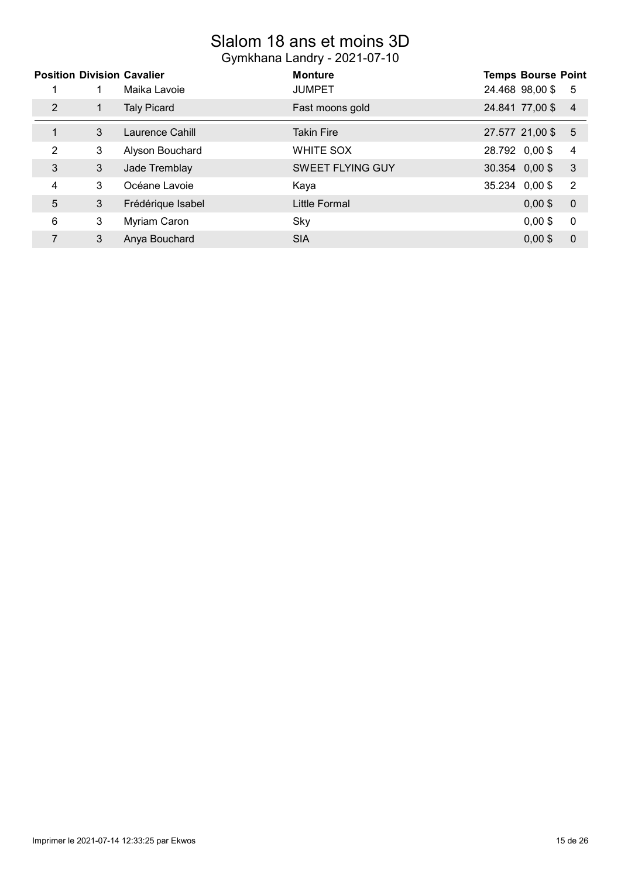## Slalom 18 ans et moins 3D Gymkhana Landry - 2021-07-10

|   |   | <b>Position Division Cavalier</b> | <b>Monture</b>          |        | <b>Temps Bourse Point</b> |                |
|---|---|-----------------------------------|-------------------------|--------|---------------------------|----------------|
|   |   | Maika Lavoie                      | <b>JUMPET</b>           |        | 24.468 98,00 \$           | 5              |
| 2 |   | <b>Taly Picard</b>                | Fast moons gold         |        | 24.841 77,00 \$           | $\overline{4}$ |
| 1 | 3 | Laurence Cahill                   | <b>Takin Fire</b>       |        | 27.577 21,00 \$           | 5              |
| 2 | 3 | Alyson Bouchard                   | WHITE SOX               |        | 28.792 0,00 \$            | 4              |
| 3 | 3 | Jade Tremblay                     | <b>SWEET FLYING GUY</b> |        | 30.354 0,00 \$            | 3              |
| 4 | 3 | Océane Lavoie                     | Kaya                    | 35.234 | $0,00$ \$                 | $\overline{2}$ |
| 5 | 3 | Frédérique Isabel                 | Little Formal           |        | $0,00$ \$                 | $\overline{0}$ |
| 6 | 3 | Myriam Caron                      | Sky                     |        | $0,00$ \$                 | $\mathbf 0$    |
|   | 3 | Anya Bouchard                     | <b>SIA</b>              |        | $0.00$ \$                 | $\mathbf 0$    |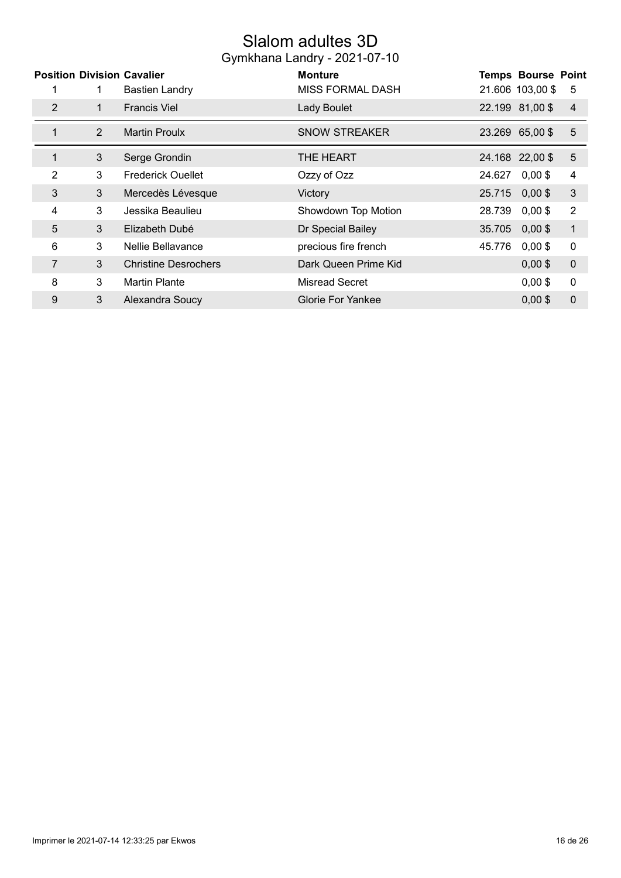## Slalom adultes 3D

|                | <b>Position Division Cavalier</b> |                             | <b>Monture</b>           |        | <b>Temps Bourse Point</b> |                |
|----------------|-----------------------------------|-----------------------------|--------------------------|--------|---------------------------|----------------|
|                |                                   | <b>Bastien Landry</b>       | <b>MISS FORMAL DASH</b>  |        | 21.606 103,00 \$          | 5              |
| $\overline{2}$ | 1.                                | <b>Francis Viel</b>         | Lady Boulet              |        | 22.199 81,00 \$           | $\overline{4}$ |
| 1              | 2                                 | <b>Martin Proulx</b>        | <b>SNOW STREAKER</b>     |        | 23.269 65,00 \$           | 5              |
| 1              | 3                                 | Serge Grondin               | THE HEART                |        | 24.168 22,00 \$           | $\overline{5}$ |
| 2              | 3                                 | <b>Frederick Ouellet</b>    | Ozzy of Ozz              | 24.627 | $0,00$ \$                 | 4              |
| 3              | 3                                 | Mercedès Lévesque           | Victory                  | 25.715 | $0,00$ \$                 | 3              |
| 4              | 3                                 | Jessika Beaulieu            | Showdown Top Motion      | 28.739 | $0,00$ \$                 | $\overline{2}$ |
| 5              | 3                                 | Elizabeth Dubé              | Dr Special Bailey        | 35.705 | $0,00$ \$                 | $\mathbf 1$    |
| 6              | 3                                 | Nellie Bellavance           | precious fire french     | 45.776 | $0,00$ \$                 | $\pmb{0}$      |
| 7              | 3                                 | <b>Christine Desrochers</b> | Dark Queen Prime Kid     |        | $0,00$ \$                 | $\mathbf 0$    |
| 8              | 3                                 | <b>Martin Plante</b>        | <b>Misread Secret</b>    |        | $0,00$ \$                 | 0              |
| 9              | 3                                 | Alexandra Soucy             | <b>Glorie For Yankee</b> |        | $0,00$ \$                 | 0              |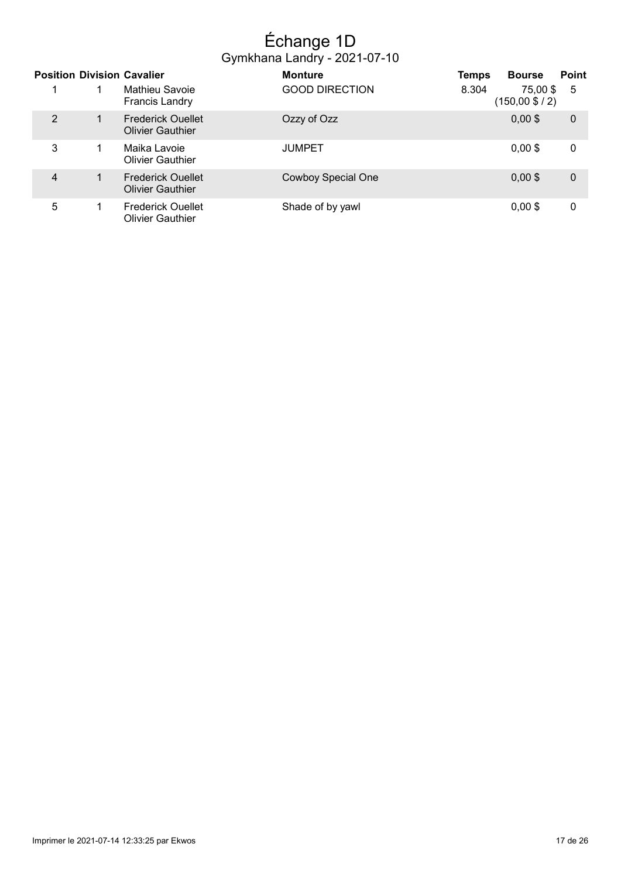## Échange 1D Gymkhana Landry - 2021-07-10

|   | <b>Position Division Cavalier</b>                   | <b>Monture</b>            | <b>Temps</b> | <b>Bourse</b>                | <b>Point</b> |
|---|-----------------------------------------------------|---------------------------|--------------|------------------------------|--------------|
|   | Mathieu Savoie<br><b>Francis Landry</b>             | <b>GOOD DIRECTION</b>     | 8.304        | 75,00 \$<br>$(150,00 \$ / 2) | 5            |
| 2 | <b>Frederick Ouellet</b><br><b>Olivier Gauthier</b> | Ozzy of Ozz               |              | $0,00$ \$                    | $\mathbf 0$  |
| 3 | Maika Lavoie<br><b>Olivier Gauthier</b>             | <b>JUMPET</b>             |              | $0,00$ \$                    | 0            |
| 4 | <b>Frederick Ouellet</b><br><b>Olivier Gauthier</b> | <b>Cowboy Special One</b> |              | $0,00$ \$                    | $\mathbf 0$  |
| 5 | <b>Frederick Ouellet</b><br><b>Olivier Gauthier</b> | Shade of by yawl          |              | $0,00$ \$                    | 0            |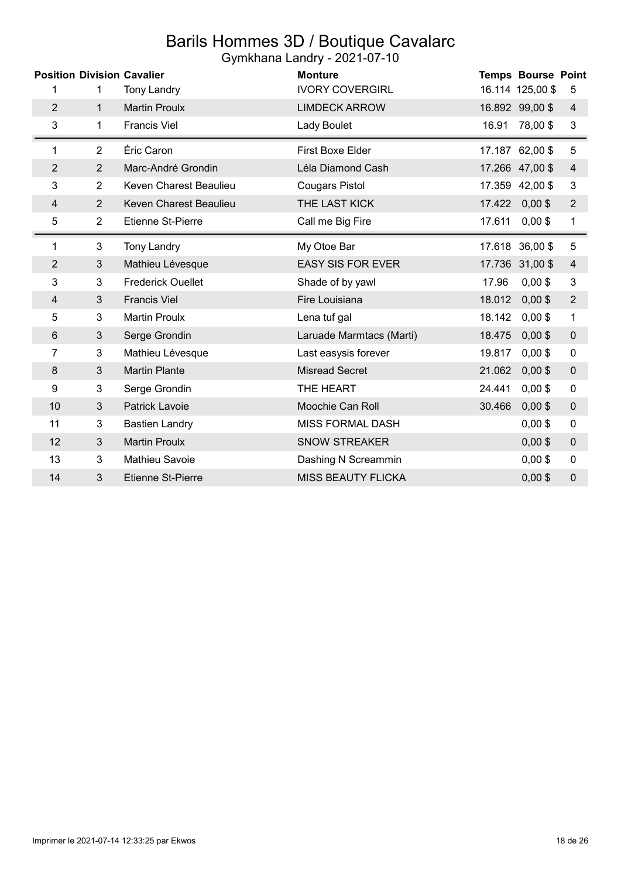# Barils Hommes 3D / Boutique Cavalarc

|  |  | Gymkhana Landry - 2021-07-10 |
|--|--|------------------------------|
|--|--|------------------------------|

|                |                | <b>Position Division Cavalier</b> | <b>Monture</b>            | <b>Temps Bourse Point</b> |                |
|----------------|----------------|-----------------------------------|---------------------------|---------------------------|----------------|
| 1              | 1              | <b>Tony Landry</b>                | <b>IVORY COVERGIRL</b>    | 16.114 125,00 \$          | 5              |
| $\overline{2}$ | $\mathbf{1}$   | <b>Martin Proulx</b>              | <b>LIMDECK ARROW</b>      | 16.892 99,00 \$           | 4              |
| 3              | 1              | <b>Francis Viel</b>               | Lady Boulet               | 78,00\$<br>16.91          | $\sqrt{3}$     |
| 1              | $\overline{2}$ | Éric Caron                        | First Boxe Elder          | 17.187 62,00 \$           | $\sqrt{5}$     |
| $\overline{2}$ | $\overline{2}$ | Marc-André Grondin                | Léla Diamond Cash         | 17.266 47,00 \$           | $\overline{4}$ |
| 3              | $\overline{2}$ | Keven Charest Beaulieu            | <b>Cougars Pistol</b>     | 17.359 42,00 \$           | 3              |
| 4              | $\overline{2}$ | Keven Charest Beaulieu            | THE LAST KICK             | 17.422 0,00 \$            | $\overline{2}$ |
| 5              | $\overline{2}$ | <b>Etienne St-Pierre</b>          | Call me Big Fire          | $0,00$ \$<br>17.611       | 1              |
| 1              | 3              | <b>Tony Landry</b>                | My Otoe Bar               | 17.618 36,00 \$           | $\mathbf 5$    |
| $\overline{2}$ | 3              | Mathieu Lévesque                  | <b>EASY SIS FOR EVER</b>  | 17.736 31,00 \$           | $\overline{4}$ |
| 3              | 3              | <b>Frederick Ouellet</b>          | Shade of by yawl          | $0,00$ \$<br>17.96        | $\sqrt{3}$     |
| 4              | 3              | <b>Francis Viel</b>               | Fire Louisiana            | 18.012<br>$0,00$ \$       | $\overline{2}$ |
| 5              | 3              | <b>Martin Proulx</b>              | Lena tuf gal              | 18.142<br>$0,00$ \$       | $\mathbf{1}$   |
| 6              | 3              | Serge Grondin                     | Laruade Marmtacs (Marti)  | $0,00$ \$<br>18.475       | $\pmb{0}$      |
| 7              | 3              | Mathieu Lévesque                  | Last easysis forever      | $0,00$ \$<br>19.817       | 0              |
| 8              | 3              | <b>Martin Plante</b>              | <b>Misread Secret</b>     | $0,00$ \$<br>21.062       | $\mathbf 0$    |
| 9              | 3              | Serge Grondin                     | THE HEART                 | 24.441<br>$0,00$ \$       | $\pmb{0}$      |
| 10             | 3              | Patrick Lavoie                    | Moochie Can Roll          | 30.466<br>$0,00$ \$       | $\pmb{0}$      |
| 11             | 3              | <b>Bastien Landry</b>             | <b>MISS FORMAL DASH</b>   | $0,00$ \$                 | $\mathbf 0$    |
| 12             | 3              | <b>Martin Proulx</b>              | <b>SNOW STREAKER</b>      | $0,00$ \$                 | $\pmb{0}$      |
| 13             | 3              | Mathieu Savoie                    | Dashing N Screammin       | $0,00$ \$                 | 0              |
| 14             | 3              | <b>Etienne St-Pierre</b>          | <b>MISS BEAUTY FLICKA</b> | $0,00$ \$                 | 0              |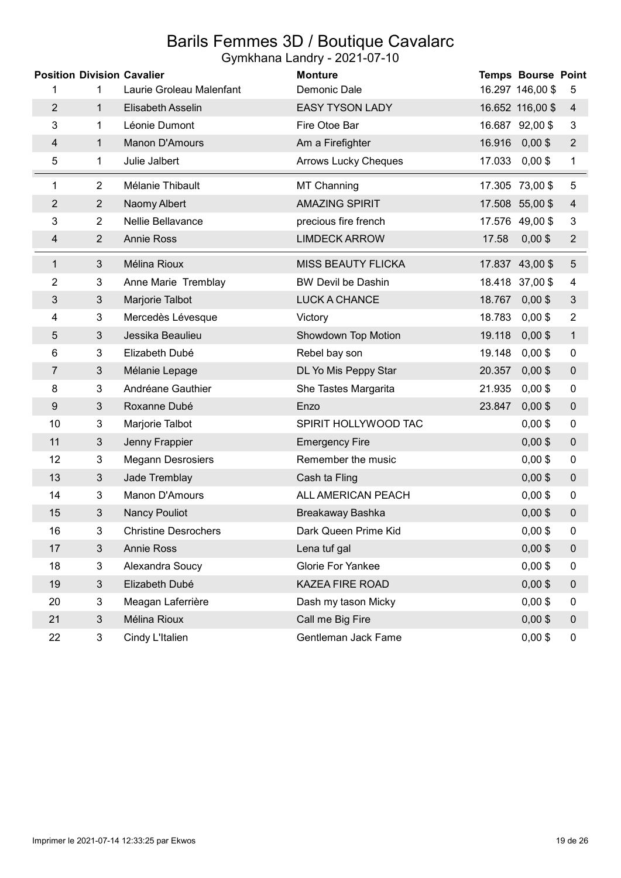### Barils Femmes 3D / Boutique Cavalarc Gymkhana Landry - 2021-07-10

|                | <b>Position Division Cavalier</b> |                             | <b>Monture</b>              |        | <b>Temps Bourse Point</b> |                  |
|----------------|-----------------------------------|-----------------------------|-----------------------------|--------|---------------------------|------------------|
| 1              | 1                                 | Laurie Groleau Malenfant    | Demonic Dale                |        | 16.297 146,00 \$          | 5                |
| $\overline{2}$ | 1                                 | Elisabeth Asselin           | <b>EASY TYSON LADY</b>      |        | 16.652 116,00 \$          | 4                |
| 3              | 1                                 | Léonie Dumont               | Fire Otoe Bar               |        | 16.687 92,00 \$           | 3                |
| $\overline{4}$ | 1                                 | Manon D'Amours              | Am a Firefighter            |        | 16.916 0,00 \$            | $\overline{2}$   |
| 5              | 1                                 | Julie Jalbert               | <b>Arrows Lucky Cheques</b> |        | 17.033 0,00 \$            | 1                |
| 1              | $\overline{2}$                    | Mélanie Thibault            | MT Channing                 |        | 17.305 73,00 \$           | 5                |
| $\overline{c}$ | $\overline{2}$                    | Naomy Albert                | <b>AMAZING SPIRIT</b>       |        | 17.508 55,00 \$           | $\overline{4}$   |
| 3              | $\overline{2}$                    | Nellie Bellavance           | precious fire french        |        | 17.576 49,00 \$           | 3                |
| 4              | $\overline{2}$                    | <b>Annie Ross</b>           | <b>LIMDECK ARROW</b>        | 17.58  | $0,00$ \$                 | $\overline{2}$   |
| 1              | $\mathfrak{S}$                    | Mélina Rioux                | <b>MISS BEAUTY FLICKA</b>   |        | 17.837 43,00 \$           | $\sqrt{5}$       |
| 2              | 3                                 | Anne Marie Tremblay         | <b>BW Devil be Dashin</b>   |        | 18.418 37,00 \$           | 4                |
| 3              | $\mathfrak{S}$                    | Marjorie Talbot             | LUCK A CHANCE               |        | 18.767 0,00 \$            | $\mathfrak{Z}$   |
| 4              | 3                                 | Mercedès Lévesque           | Victory                     | 18.783 | $0,00$ \$                 | $\overline{2}$   |
| 5              | 3                                 | Jessika Beaulieu            | Showdown Top Motion         | 19.118 | $0,00$ \$                 | 1                |
| 6              | 3                                 | Elizabeth Dubé              | Rebel bay son               | 19.148 | $0,00$ \$                 | 0                |
| 7              | 3                                 | Mélanie Lepage              | DL Yo Mis Peppy Star        | 20.357 | $0,00$ \$                 | $\pmb{0}$        |
| 8              | 3                                 | Andréane Gauthier           | She Tastes Margarita        | 21.935 | $0,00$ \$                 | 0                |
| 9              | $\mathfrak{B}$                    | Roxanne Dubé                | Enzo                        | 23.847 | $0,00$ \$                 | $\boldsymbol{0}$ |
| 10             | 3                                 | Marjorie Talbot             | SPIRIT HOLLYWOOD TAC        |        | $0,00$ \$                 | $\pmb{0}$        |
| 11             | $\mathfrak{S}$                    | Jenny Frappier              | <b>Emergency Fire</b>       |        | $0,00$ \$                 | $\mathbf 0$      |
| 12             | 3                                 | <b>Megann Desrosiers</b>    | Remember the music          |        | $0,00$ \$                 | 0                |
| 13             | $\mathfrak{S}$                    | Jade Tremblay               | Cash ta Fling               |        | $0,00$ \$                 | $\pmb{0}$        |
| 14             | 3                                 | Manon D'Amours              | ALL AMERICAN PEACH          |        | $0,00$ \$                 | 0                |
| 15             | $\mathfrak{S}$                    | <b>Nancy Pouliot</b>        | Breakaway Bashka            |        | $0,00$ \$                 | $\pmb{0}$        |
| 16             | 3                                 | <b>Christine Desrochers</b> | Dark Queen Prime Kid        |        | $0,00$ \$                 | $\pmb{0}$        |
| 17             | $\mathbf{3}$                      | <b>Annie Ross</b>           | Lena tuf gal                |        | $0,00$ \$                 | $\pmb{0}$        |
| 18             | 3                                 | Alexandra Soucy             | Glorie For Yankee           |        | $0,00$ \$                 | 0                |
| 19             | 3                                 | Elizabeth Dubé              | KAZEA FIRE ROAD             |        | $0,00$ \$                 | $\pmb{0}$        |
| 20             | 3                                 | Meagan Laferrière           | Dash my tason Micky         |        | $0,00$ \$                 | 0                |
| 21             | $\mathfrak{S}$                    | Mélina Rioux                | Call me Big Fire            |        | $0,00$ \$                 | $\boldsymbol{0}$ |
| 22             | 3                                 | Cindy L'Italien             | Gentleman Jack Fame         |        | $0,00$ \$                 | 0                |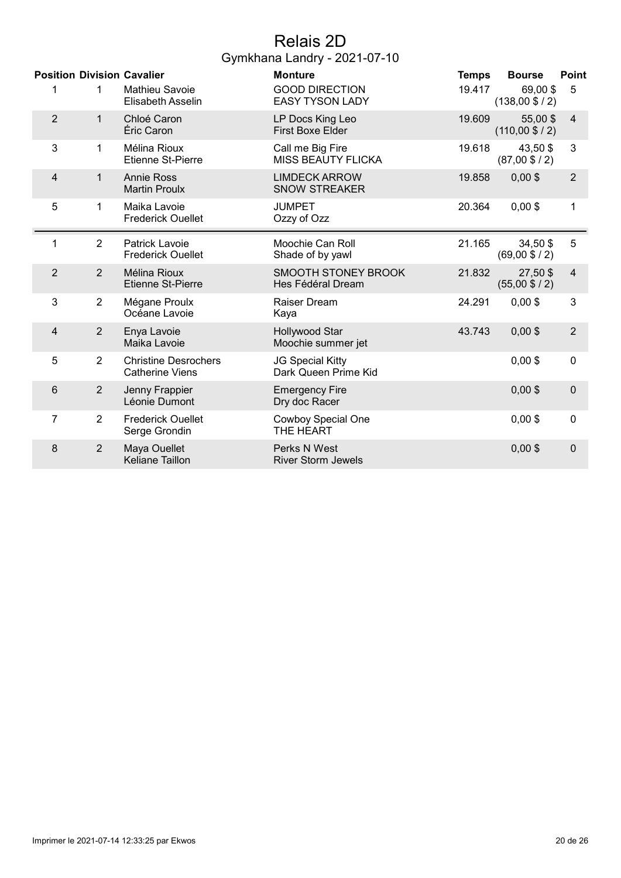## Relais 2D Gymkhana Landry - 2021-07-10

|                |                | <b>Position Division Cavalier</b>                     | <b>Monture</b>                                  | <b>Temps</b> | <b>Bourse</b>                        | <b>Point</b>            |
|----------------|----------------|-------------------------------------------------------|-------------------------------------------------|--------------|--------------------------------------|-------------------------|
| 1              | 1              | Mathieu Savoie<br>Elisabeth Asselin                   | <b>GOOD DIRECTION</b><br><b>EASY TYSON LADY</b> | 19.417       | 69,00\$<br>$(138,00 \text{ $>$}/ 2)$ | 5                       |
| $\overline{2}$ | 1              | Chloé Caron<br>Éric Caron                             | LP Docs King Leo<br><b>First Boxe Elder</b>     | 19.609       | 55,00\$<br>$(110,00 \$ / 2)          | $\overline{4}$          |
| 3              | 1              | Mélina Rioux<br><b>Etienne St-Pierre</b>              | Call me Big Fire<br><b>MISS BEAUTY FLICKA</b>   | 19.618       | 43,50 \$<br>$(87,00 \$ / 2)          | 3                       |
| 4              | 1              | <b>Annie Ross</b><br><b>Martin Proulx</b>             | <b>LIMDECK ARROW</b><br><b>SNOW STREAKER</b>    | 19.858       | $0,00$ \$                            | $\overline{2}$          |
| 5              | 1              | Maika Lavoie<br><b>Frederick Ouellet</b>              | <b>JUMPET</b><br>Ozzy of Ozz                    | 20.364       | $0,00$ \$                            | 1                       |
| 1              | $\overline{2}$ | Patrick Lavoie<br><b>Frederick Ouellet</b>            | Moochie Can Roll<br>Shade of by yawl            | 21.165       | 34,50 \$<br>$(69,00 \$ / 2)          | 5                       |
| $\overline{2}$ | $\overline{2}$ | Mélina Rioux<br><b>Etienne St-Pierre</b>              | <b>SMOOTH STONEY BROOK</b><br>Hes Fédéral Dream | 21.832       | 27,50 \$<br>$(55,00 \text{ $6 / 2})$ | $\overline{\mathbf{4}}$ |
| 3              | $\overline{2}$ | Mégane Proulx<br>Océane Lavoie                        | Raiser Dream<br>Kaya                            | 24.291       | $0,00$ \$                            | 3                       |
| 4              | $\overline{2}$ | Enya Lavoie<br>Maika Lavoie                           | Hollywood Star<br>Moochie summer jet            | 43.743       | $0,00$ \$                            | $\overline{2}$          |
| 5              | $\overline{2}$ | <b>Christine Desrochers</b><br><b>Catherine Viens</b> | JG Special Kitty<br>Dark Queen Prime Kid        |              | $0,00$ \$                            | $\mathbf 0$             |
| 6              | $\overline{2}$ | Jenny Frappier<br>Léonie Dumont                       | <b>Emergency Fire</b><br>Dry doc Racer          |              | $0,00$ \$                            | $\mathbf 0$             |
| 7              | $\overline{2}$ | <b>Frederick Ouellet</b><br>Serge Grondin             | Cowboy Special One<br>THE HEART                 |              | $0,00$ \$                            | $\mathbf 0$             |
| 8              | $\overline{2}$ | Maya Ouellet<br>Keliane Taillon                       | Perks N West<br><b>River Storm Jewels</b>       |              | $0,00$ \$                            | $\mathbf 0$             |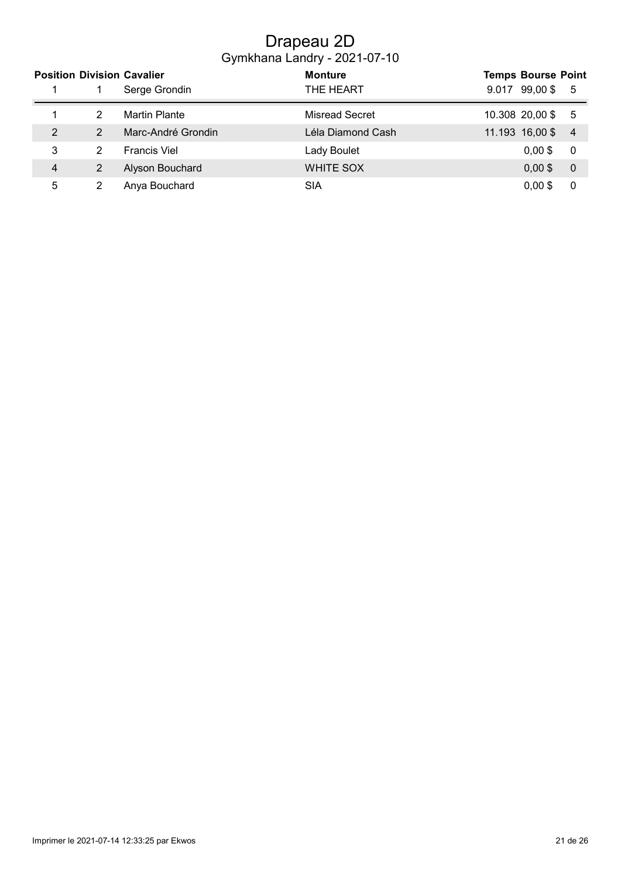## Drapeau 2D Gymkhana Landry - 2021-07-10

|   |   | <b>Position Division Cavalier</b> | <b>Monture</b>        | <b>Temps Bourse Point</b>         |
|---|---|-----------------------------------|-----------------------|-----------------------------------|
|   |   | Serge Grondin                     | THE HEART             | 99,00\$<br>-5<br>9.017            |
|   |   | <b>Martin Plante</b>              | <b>Misread Secret</b> | 10.308 20,00 \$<br>- 5            |
| 2 | 2 | Marc-André Grondin                | Léla Diamond Cash     | 11.193 16,00 \$<br>$\overline{4}$ |
| 3 | 2 | <b>Francis Viel</b>               | Lady Boulet           | $0.00$ \$<br>-0                   |
| 4 |   | Alyson Bouchard                   | <b>WHITE SOX</b>      | $0,00$ \$<br>$\overline{0}$       |
| 5 |   | Anya Bouchard                     | SIA                   | $0,00$ \$<br>0                    |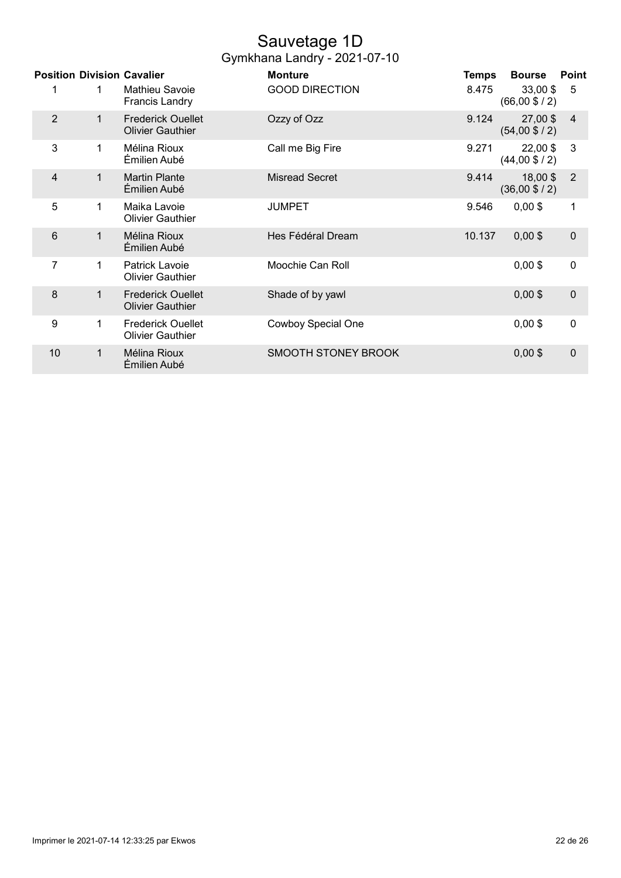## Sauvetage 1D

| Gymkhana Landry - 2021-07-10 |  |
|------------------------------|--|
|------------------------------|--|

|                |   | <b>Position Division Cavalier</b>                   | <b>Monture</b>             | Temps  | <b>Bourse</b>                          | Point          |
|----------------|---|-----------------------------------------------------|----------------------------|--------|----------------------------------------|----------------|
| 1              | 1 | <b>Mathieu Savoie</b><br><b>Francis Landry</b>      | <b>GOOD DIRECTION</b>      | 8.475  | $33,00$ \$<br>$(66,00 \$ / 2)          | 5              |
| $\overline{2}$ | 1 | <b>Frederick Ouellet</b><br><b>Olivier Gauthier</b> | Ozzy of Ozz                | 9.124  | 27,00 \$<br>$(54,00 \text{ $6 / 2})$   | $\overline{4}$ |
| 3              | 1 | Mélina Rioux<br>Émilien Aubé                        | Call me Big Fire           | 9.271  | $22,00$ \$<br>$(44,00 \text{ $6 / 2})$ | 3              |
| $\overline{4}$ | 1 | <b>Martin Plante</b><br>Émilien Aubé                | <b>Misread Secret</b>      | 9.414  | 18,00\$<br>$(36,00 \text{ $>$}/ 2)$    | $\overline{2}$ |
| 5              | 1 | Maika Lavoie<br><b>Olivier Gauthier</b>             | <b>JUMPET</b>              | 9.546  | $0,00$ \$                              | 1              |
| 6              | 1 | Mélina Rioux<br>Émilien Aubé                        | Hes Fédéral Dream          | 10.137 | $0,00$ \$                              | $\mathbf 0$    |
| 7              | 1 | Patrick Lavoie<br><b>Olivier Gauthier</b>           | Moochie Can Roll           |        | $0,00$ \$                              | $\mathbf 0$    |
| 8              | 1 | <b>Frederick Ouellet</b><br><b>Olivier Gauthier</b> | Shade of by yawl           |        | $0,00$ \$                              | $\mathbf 0$    |
| 9              | 1 | <b>Frederick Ouellet</b><br><b>Olivier Gauthier</b> | Cowboy Special One         |        | $0,00$ \$                              | $\mathbf 0$    |
| 10             | 1 | Mélina Rioux<br>Émilien Aubé                        | <b>SMOOTH STONEY BROOK</b> |        | $0,00$ \$                              | $\mathbf 0$    |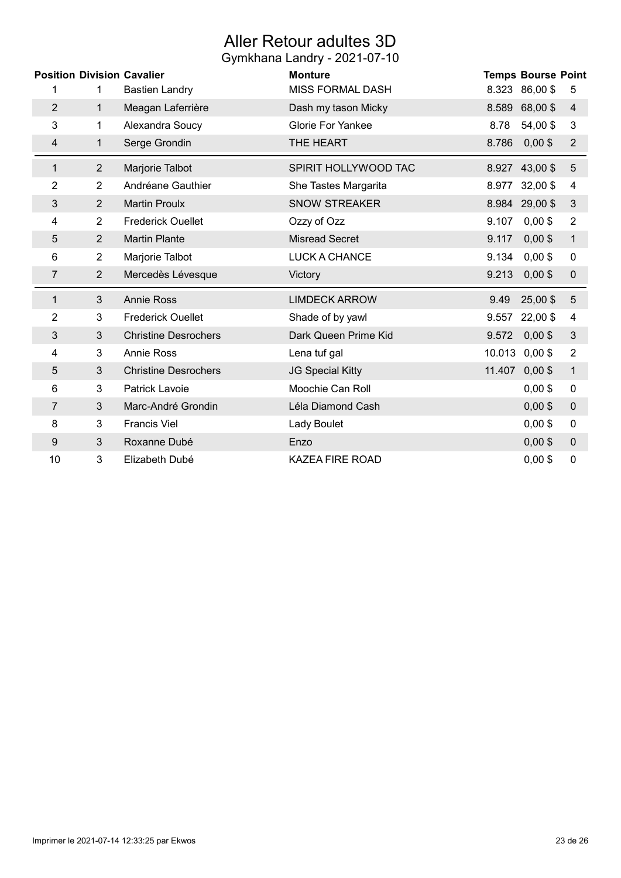## Aller Retour adultes 3D

|                |                | <b>Position Division Cavalier</b> | <b>Monture</b>           | <b>Temps Bourse Point</b>                    |
|----------------|----------------|-----------------------------------|--------------------------|----------------------------------------------|
| 1              | 1              | <b>Bastien Landry</b>             | <b>MISS FORMAL DASH</b>  | 8.323 86,00 \$<br>5                          |
| $\overline{2}$ | $\mathbf 1$    | Meagan Laferrière                 | Dash my tason Micky      | 68,00 \$<br>8.589<br>$\overline{4}$          |
| 3              | 1              | Alexandra Soucy                   | <b>Glorie For Yankee</b> | 54,00\$<br>$\mathbf{3}$<br>8.78              |
| 4              | 1              | Serge Grondin                     | THE HEART                | $0,00$ \$<br>8.786<br>$\overline{2}$         |
| 1              | $\overline{2}$ | Marjorie Talbot                   | SPIRIT HOLLYWOOD TAC     | $\overline{5}$<br>8.927 43,00 \$             |
| 2              | $\overline{2}$ | Andréane Gauthier                 | She Tastes Margarita     | $32,00$ \$<br>8.977<br>4                     |
| 3              | 2              | <b>Martin Proulx</b>              | <b>SNOW STREAKER</b>     | 8.984 29,00 \$<br>3                          |
| 4              | $\overline{2}$ | <b>Frederick Ouellet</b>          | Ozzy of Ozz              | $0,00$ \$<br>$\overline{2}$<br>9.107         |
| 5              | $\overline{2}$ | <b>Martin Plante</b>              | <b>Misread Secret</b>    | $0,00$ \$<br>9.117<br>$\mathbf{1}$           |
| 6              | $\overline{2}$ | Marjorie Talbot                   | <b>LUCK A CHANCE</b>     | $0,00$ \$<br>9.134<br>$\pmb{0}$              |
|                |                |                                   |                          |                                              |
| 7              | $\overline{2}$ | Mercedès Lévesque                 | Victory                  | 9.213<br>$0,00$ \$<br>$\pmb{0}$              |
| 1              | $\mathfrak{S}$ | <b>Annie Ross</b>                 | <b>LIMDECK ARROW</b>     | 25,00\$<br>9.49<br>5                         |
| $\overline{2}$ | 3              | <b>Frederick Ouellet</b>          | Shade of by yawl         | 22,00 \$<br>$\overline{\mathbf{4}}$<br>9.557 |
| 3              | $\mathfrak{B}$ | <b>Christine Desrochers</b>       | Dark Queen Prime Kid     | $0,00$ \$<br>3<br>9.572                      |
| 4              | 3              | <b>Annie Ross</b>                 | Lena tuf gal             | $0,00$ \$<br>10.013<br>$\overline{2}$        |
| 5              | $\mathfrak{B}$ | <b>Christine Desrochers</b>       | <b>JG Special Kitty</b>  | 11.407<br>$0,00$ \$<br>$\mathbf 1$           |
| 6              | 3              | Patrick Lavoie                    | Moochie Can Roll         | $0,00$ \$<br>$\pmb{0}$                       |
| 7              | 3              | Marc-André Grondin                | Léla Diamond Cash        | $0,00$ \$<br>$\pmb{0}$                       |
| 8              | 3              | <b>Francis Viel</b>               | Lady Boulet              | $0,00$ \$<br>$\pmb{0}$                       |
| 9              | $\mathfrak{B}$ | Roxanne Dubé                      | Enzo                     | $0,00$ \$<br>$\pmb{0}$                       |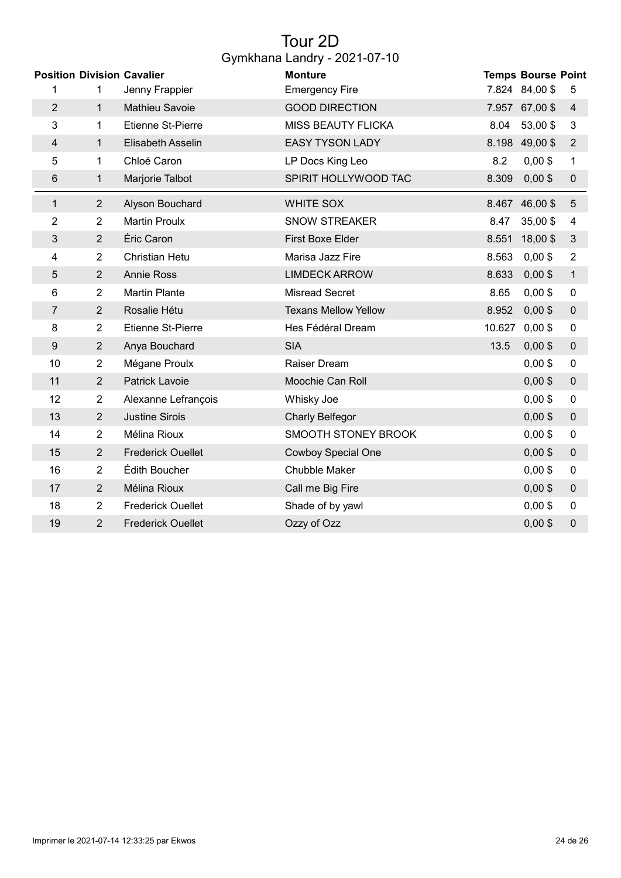## Tour 2D Gymkhana Landry - 2021-07-10

|                |                | <b>Position Division Cavalier</b> | <b>Monture</b>              |        | <b>Temps Bourse Point</b> |                |
|----------------|----------------|-----------------------------------|-----------------------------|--------|---------------------------|----------------|
| 1              | 1              | Jenny Frappier                    | <b>Emergency Fire</b>       |        | 7.824 84,00 \$            | 5              |
| $\overline{2}$ | $\mathbf{1}$   | Mathieu Savoie                    | <b>GOOD DIRECTION</b>       |        | 7.957 67,00 \$            | 4              |
| 3              | 1              | <b>Etienne St-Pierre</b>          | <b>MISS BEAUTY FLICKA</b>   | 8.04   | 53,00\$                   | 3              |
| $\overline{4}$ | $\mathbf{1}$   | Elisabeth Asselin                 | <b>EASY TYSON LADY</b>      |        | 8.198 49,00 \$            | $\overline{2}$ |
| 5              | 1              | Chloé Caron                       | LP Docs King Leo            | 8.2    | $0,00$ \$                 | 1              |
| 6              | 1              | Marjorie Talbot                   | SPIRIT HOLLYWOOD TAC        | 8.309  | $0,00$ \$                 | $\pmb{0}$      |
| 1              | $\overline{2}$ | Alyson Bouchard                   | <b>WHITE SOX</b>            |        | 8.467 46,00 \$            | 5              |
| $\overline{2}$ | $\overline{2}$ | <b>Martin Proulx</b>              | <b>SNOW STREAKER</b>        | 8.47   | 35,00\$                   | 4              |
| 3              | $\overline{2}$ | Éric Caron                        | First Boxe Elder            | 8.551  | 18,00\$                   | $\mathfrak{Z}$ |
| 4              | $\overline{2}$ | <b>Christian Hetu</b>             | Marisa Jazz Fire            | 8.563  | $0,00$ \$                 | $\overline{2}$ |
| 5              | $\overline{2}$ | <b>Annie Ross</b>                 | <b>LIMDECK ARROW</b>        | 8.633  | $0,00$ \$                 | $\mathbf{1}$   |
| 6              | $\overline{2}$ | <b>Martin Plante</b>              | <b>Misread Secret</b>       | 8.65   | $0,00$ \$                 | $\pmb{0}$      |
| $\overline{7}$ | $\overline{2}$ | Rosalie Hétu                      | <b>Texans Mellow Yellow</b> | 8.952  | $0,00$ \$                 | $\pmb{0}$      |
| 8              | $\overline{2}$ | <b>Etienne St-Pierre</b>          | Hes Fédéral Dream           | 10.627 | $0,00$ \$                 | 0              |
| 9              | $\overline{2}$ | Anya Bouchard                     | <b>SIA</b>                  | 13.5   | $0,00$ \$                 | $\pmb{0}$      |
| 10             | $\overline{2}$ | Mégane Proulx                     | Raiser Dream                |        | $0,00$ \$                 | 0              |
| 11             | $\overline{2}$ | Patrick Lavoie                    | Moochie Can Roll            |        | $0,00$ \$                 | $\pmb{0}$      |
| 12             | $\overline{2}$ | Alexanne Lefrançois               | Whisky Joe                  |        | $0,00$ \$                 | 0              |
| 13             | $\overline{2}$ | <b>Justine Sirois</b>             | <b>Charly Belfegor</b>      |        | $0,00$ \$                 | $\pmb{0}$      |
| 14             | $\overline{2}$ | Mélina Rioux                      | SMOOTH STONEY BROOK         |        | $0,00$ \$                 | 0              |
| 15             | $\overline{2}$ | <b>Frederick Ouellet</b>          | <b>Cowboy Special One</b>   |        | $0,00$ \$                 | $\pmb{0}$      |
| 16             | $\overline{2}$ | Édith Boucher                     | Chubble Maker               |        | $0,00$ \$                 | 0              |
| 17             | $\overline{2}$ | Mélina Rioux                      | Call me Big Fire            |        | $0,00$ \$                 | $\pmb{0}$      |
| 18             | $\overline{2}$ | <b>Frederick Ouellet</b>          | Shade of by yawl            |        | $0,00$ \$                 | $\pmb{0}$      |
| 19             | $\overline{2}$ | <b>Frederick Ouellet</b>          | Ozzy of Ozz                 |        | $0,00$ \$                 | $\mathbf 0$    |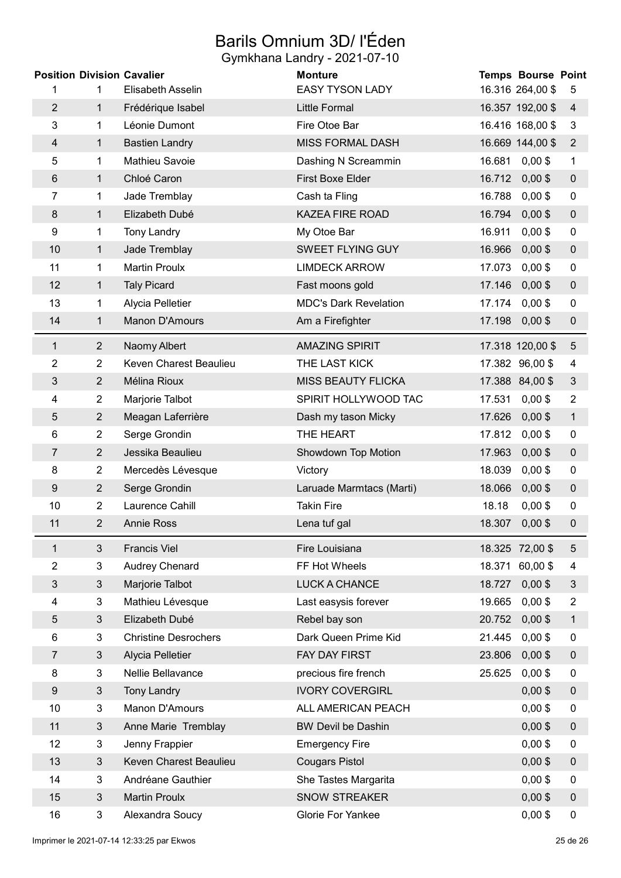# Barils Omnium 3D/ l'Éden

|                  |                | <b>Position Division Cavalier</b> | <b>Monture</b>               |        | <b>Temps Bourse Point</b> |                  |
|------------------|----------------|-----------------------------------|------------------------------|--------|---------------------------|------------------|
| 1                | 1              | Elisabeth Asselin                 | <b>EASY TYSON LADY</b>       |        | 16.316 264,00 \$          | 5                |
| $\overline{2}$   | $\mathbf{1}$   | Frédérique Isabel                 | <b>Little Formal</b>         |        | 16.357 192,00 \$          | 4                |
| 3                | 1              | Léonie Dumont                     | Fire Otoe Bar                |        | 16.416 168,00 \$          | 3                |
| 4                | 1              | <b>Bastien Landry</b>             | <b>MISS FORMAL DASH</b>      |        | 16.669 144,00 \$          | $\overline{2}$   |
| 5                | 1              | Mathieu Savoie                    | Dashing N Screammin          | 16.681 | $0,00$ \$                 | $\mathbf 1$      |
| 6                | $\mathbf{1}$   | Chloé Caron                       | First Boxe Elder             | 16.712 | $0,00$ \$                 | $\boldsymbol{0}$ |
| 7                | 1              | Jade Tremblay                     | Cash ta Fling                | 16.788 | $0,00$ \$                 | $\pmb{0}$        |
| 8                | 1              | Elizabeth Dubé                    | <b>KAZEA FIRE ROAD</b>       | 16.794 | $0,00$ \$                 | $\mathbf 0$      |
| 9                | 1              | <b>Tony Landry</b>                | My Otoe Bar                  | 16.911 | $0,00$ \$                 | 0                |
| 10               | $\mathbf 1$    | Jade Tremblay                     | <b>SWEET FLYING GUY</b>      | 16.966 | $0,00$ \$                 | $\boldsymbol{0}$ |
| 11               | 1              | <b>Martin Proulx</b>              | <b>LIMDECK ARROW</b>         | 17.073 | $0,00$ \$                 | 0                |
| 12               | $\mathbf{1}$   | <b>Taly Picard</b>                | Fast moons gold              | 17.146 | $0,00$ \$                 | $\mathbf 0$      |
| 13               | 1              | Alycia Pelletier                  | <b>MDC's Dark Revelation</b> | 17.174 | $0,00$ \$                 | $\mathbf 0$      |
| 14               | 1              | Manon D'Amours                    | Am a Firefighter             | 17.198 | $0,00$ \$                 | $\pmb{0}$        |
| 1                | $\overline{2}$ | Naomy Albert                      | <b>AMAZING SPIRIT</b>        |        | 17.318 120,00 \$          | $\sqrt{5}$       |
| 2                | $\overline{2}$ | Keven Charest Beaulieu            | THE LAST KICK                |        | 17.382 96,00 \$           | 4                |
| 3                | $\overline{2}$ | Mélina Rioux                      | <b>MISS BEAUTY FLICKA</b>    |        | 17.388 84,00 \$           | $\sqrt{3}$       |
| 4                | $\overline{2}$ | Marjorie Talbot                   | SPIRIT HOLLYWOOD TAC         | 17.531 | $0,00$ \$                 | $\overline{2}$   |
| 5                | $\overline{2}$ | Meagan Laferrière                 | Dash my tason Micky          | 17.626 | $0,00$ \$                 | $\mathbf{1}$     |
| 6                | $\overline{2}$ | Serge Grondin                     | THE HEART                    | 17.812 | $0,00$ \$                 | $\mathbf 0$      |
| 7                | $\overline{2}$ | Jessika Beaulieu                  | Showdown Top Motion          | 17.963 | $0,00$ \$                 | $\pmb{0}$        |
| 8                | $\overline{2}$ | Mercedès Lévesque                 | Victory                      | 18.039 | $0,00$ \$                 | 0                |
| 9                | $\overline{2}$ | Serge Grondin                     | Laruade Marmtacs (Marti)     | 18.066 | $0,00$ \$                 | $\boldsymbol{0}$ |
| 10               | $\overline{2}$ | Laurence Cahill                   | <b>Takin Fire</b>            | 18.18  | $0,00$ \$                 | $\mathbf 0$      |
| 11               | $\overline{2}$ | <b>Annie Ross</b>                 | Lena tuf gal                 | 18.307 | $0,00$ \$                 | $\mathbf 0$      |
| 1                | $\mathfrak{B}$ | <b>Francis Viel</b>               | Fire Louisiana               |        | 18.325 72,00 \$           | 5                |
| $\overline{2}$   | 3              | Audrey Chenard                    | FF Hot Wheels                |        | 18.371 60,00 \$           | 4                |
| 3                | $\mathfrak{S}$ | Marjorie Talbot                   | LUCK A CHANCE                | 18.727 | $0,00$ \$                 | $\mathfrak{S}$   |
| 4                | 3              | Mathieu Lévesque                  | Last easysis forever         | 19.665 | $0,00$ \$                 | $\overline{2}$   |
| 5                | 3              | Elizabeth Dubé                    | Rebel bay son                | 20.752 | $0,00$ \$                 | 1                |
| 6                | 3              | <b>Christine Desrochers</b>       | Dark Queen Prime Kid         | 21.445 | $0,00$ \$                 | 0                |
| 7                | $\mathfrak{Z}$ | Alycia Pelletier                  | FAY DAY FIRST                | 23.806 | $0,00$ \$                 | $\boldsymbol{0}$ |
| 8                | 3              | Nellie Bellavance                 | precious fire french         | 25.625 | $0,00$ \$                 | 0                |
| $\boldsymbol{9}$ | $\mathfrak{S}$ | <b>Tony Landry</b>                | <b>IVORY COVERGIRL</b>       |        | $0,00$ \$                 | $\pmb{0}$        |
| 10               | 3              | Manon D'Amours                    | ALL AMERICAN PEACH           |        | $0,00$ \$                 | 0                |
| 11               | 3              | Anne Marie Tremblay               | <b>BW Devil be Dashin</b>    |        | $0,00$ \$                 | $\mathbf 0$      |
| 12               | 3              | Jenny Frappier                    | <b>Emergency Fire</b>        |        | $0,00$ \$                 | 0                |
| 13               | $\mathfrak{Z}$ | Keven Charest Beaulieu            | <b>Cougars Pistol</b>        |        | $0,00$ \$                 | $\boldsymbol{0}$ |
| 14               | 3              | Andréane Gauthier                 | She Tastes Margarita         |        | $0,00$ \$                 | 0                |
| 15               | $\mathfrak{S}$ | <b>Martin Proulx</b>              | <b>SNOW STREAKER</b>         |        | $0,00$ \$                 | $\boldsymbol{0}$ |
| 16               | $\mathbf{3}$   | Alexandra Soucy                   | Glorie For Yankee            |        | $0,00$ \$                 | $\pmb{0}$        |